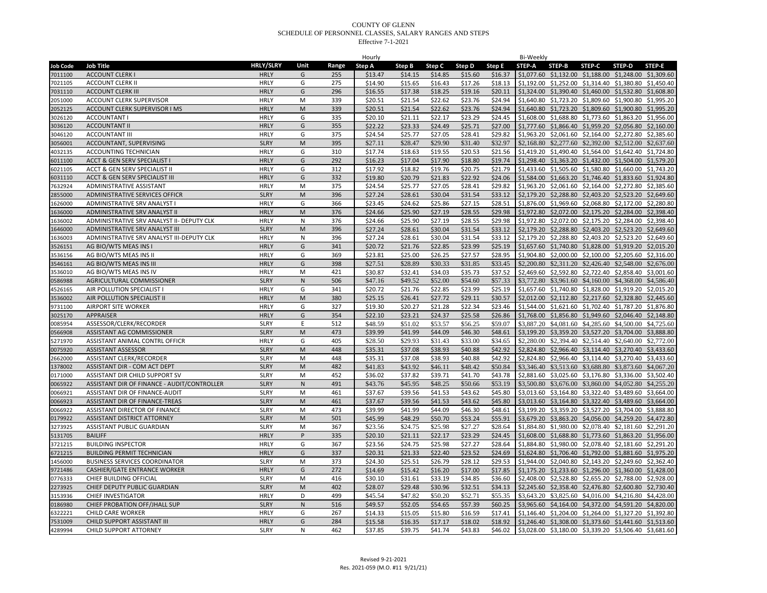|                 |                                             |                  |              |       | Hourly  |         |         |         |         | Bi-Weekly     |                                                                |        |        |        |
|-----------------|---------------------------------------------|------------------|--------------|-------|---------|---------|---------|---------|---------|---------------|----------------------------------------------------------------|--------|--------|--------|
| <b>Job Code</b> | <b>Job Title</b>                            | <b>HRLY/SLRY</b> | Unit         | Range | Step A  | Step B  | Step C  | Step D  | Step E  | <b>STEP-A</b> | STEP-B                                                         | STEP-C | STEP-D | STEP-E |
| 7011100         | <b>ACCOUNT CLERK I</b>                      | <b>HRLY</b>      | G            | 255   | \$13.47 | \$14.15 | \$14.85 | \$15.60 | \$16.37 |               | \$1,077.60 \$1,132.00 \$1,188.00 \$1,248.00 \$1,309.60         |        |        |        |
| 7021105         | <b>ACCOUNT CLERK II</b>                     | <b>HRLY</b>      | G            | 275   | \$14.90 | \$15.65 | \$16.43 | \$17.26 | \$18.13 |               | \$1,192.00 \$1,252.00 \$1,314.40 \$1,380.80 \$1,450.40         |        |        |        |
| 7031110         | <b>ACCOUNT CLERK III</b>                    | <b>HRLY</b>      | G            | 296   | \$16.55 | \$17.38 | \$18.25 | \$19.16 | \$20.11 |               | \$1,324.00 \$1,390.40 \$1,460.00 \$1,532.80 \$1,608.80         |        |        |        |
| 2051000         | ACCOUNT CLERK SUPERVISOR                    | <b>HRLY</b>      | M            | 339   | \$20.51 | \$21.54 | \$22.62 | \$23.76 | \$24.94 |               | \$1,640.80 \$1,723.20 \$1,809.60 \$1,900.80 \$1,995.20         |        |        |        |
| 2052125         | ACCOUNT CLERK SUPERVISOR I MS               | <b>HRLY</b>      | M            | 339   | \$20.51 | \$21.54 | \$22.62 | \$23.76 | \$24.94 |               | \$1,640.80 \$1,723.20 \$1,809.60 \$1,900.80 \$1,995.20         |        |        |        |
| 3026120         | <b>ACCOUNTANT I</b>                         | <b>HRLY</b>      | G            | 335   | \$20.10 | \$21.11 | \$22.17 | \$23.29 | \$24.45 |               | \$1,608.00 \$1,688.80 \$1,773.60 \$1,863.20 \$1,956.00         |        |        |        |
| 3036120         | <b>ACCOUNTANT II</b>                        | <b>HRLY</b>      | G            | 355   | \$22.22 | \$23.33 | \$24.49 | \$25.71 | \$27.00 |               | \$1,777.60 \$1,866.40 \$1,959.20 \$2,056.80 \$2,160.00         |        |        |        |
| 3046120         | <b>ACCOUNTANT III</b>                       | <b>HRLY</b>      | G            | 375   | \$24.54 | \$25.77 | \$27.05 | \$28.41 | \$29.82 |               | \$1,963.20 \$2,061.60 \$2,164.00 \$2,272.80 \$2,385.60         |        |        |        |
| 3056001         | ACCOUNTANT, SUPERVISING                     | <b>SLRY</b>      | ${\sf M}$    | 395   | \$27.11 | \$28.47 | \$29.90 | \$31.40 | \$32.97 |               | \$2,168.80 \$2,277.60 \$2,392.00 \$2,512.00 \$2,637.60         |        |        |        |
| 4032135         | ACCOUNTING TECHNICIAN                       | <b>HRLY</b>      | G            | 310   | \$17.74 | \$18.63 | \$19.55 | \$20.53 | \$21.56 |               | \$1,419.20 \$1,490.40 \$1,564.00 \$1,642.40 \$1,724.80         |        |        |        |
| 6011100         | ACCT & GEN SERV SPECIALIST I                | <b>HRLY</b>      | G            | 292   | \$16.23 | \$17.04 | \$17.90 | \$18.80 | \$19.74 |               | \$1,298.40 \$1,363.20 \$1,432.00 \$1,504.00 \$1,579.20         |        |        |        |
| 6021105         | ACCT & GEN SERV SPECIALIST II               | <b>HRLY</b>      | G            | 312   | \$17.92 | \$18.82 | \$19.76 | \$20.75 | \$21.79 |               | \$1,433.60 \$1,505.60 \$1,580.80 \$1,660.00 \$1,743.20         |        |        |        |
| 6031110         | ACCT & GEN SERV SPECIALIST III              | <b>HRLY</b>      | G            | 332   | \$19.80 | \$20.79 | \$21.83 | \$22.92 | \$24.06 |               | \$1,584.00 \$1,663.20 \$1,746.40 \$1,833.60 \$1,924.80         |        |        |        |
| 7632924         | ADMINISTRATIVE ASSISTANT                    | <b>HRLY</b>      | M            | 375   | \$24.54 | \$25.77 | \$27.05 | \$28.41 | \$29.82 |               | \$1,963.20 \$2,061.60 \$2,164.00 \$2,272.80 \$2,385.60         |        |        |        |
| 2855000         | ADMINISTRATIVE SERVICES OFFICR              | <b>SLRY</b>      | M            | 396   | \$27.24 | \$28.61 | \$30.04 | \$31.54 | \$33.12 |               | \$2,179.20 \$2,288.80 \$2,403.20 \$2,523.20 \$2,649.60         |        |        |        |
| 1626000         | ADMINISTRATIVE SRV ANALYST I                | <b>HRLY</b>      | G            | 366   | \$23.45 | \$24.62 | \$25.86 | \$27.15 | \$28.51 |               | \$1,876.00 \$1,969.60 \$2,068.80 \$2,172.00 \$2,280.80         |        |        |        |
| 1636000         | ADMINISTRATIVE SRV ANALYST II               | <b>HRLY</b>      | M            | 376   | \$24.66 | \$25.90 | \$27.19 | \$28.55 | \$29.98 |               | \$1,972.80 \$2,072.00 \$2,175.20 \$2,284.00 \$2,398.40         |        |        |        |
| 1636002         | ADMINISTRATIVE SRV ANALYST II- DEPUTY CLK   | <b>HRLY</b>      | N            | 376   | \$24.66 | \$25.90 | \$27.19 | \$28.55 | \$29.98 |               | \$1,972.80 \$2,072.00 \$2,175.20 \$2,284.00 \$2,398.40         |        |        |        |
| 1646000         | ADMINISTRATIVE SRV ANALYST III              | <b>SLRY</b>      | M            | 396   | \$27.24 | \$28.61 | \$30.04 | \$31.54 | \$33.12 |               | \$2,179.20 \$2,288.80 \$2,403.20 \$2,523.20 \$2,649.60         |        |        |        |
| 1636003         | ADMINISTRATIVE SRV ANALYST III-DEPUTY CLK   | <b>HRLY</b>      | N            | 396   | \$27.24 | \$28.61 | \$30.04 | \$31.54 | \$33.12 |               | \$2,179.20 \$2,288.80 \$2,403.20 \$2,523.20 \$2,649.60         |        |        |        |
| 3526151         | AG BIO/WTS MEAS INS I                       | <b>HRLY</b>      | G            | 341   | \$20.72 | \$21.76 | \$22.85 | \$23.99 | \$25.19 |               | \$1,657.60 \$1,740.80 \$1,828.00 \$1,919.20 \$2,015.20         |        |        |        |
| 3536156         | AG BIO/WTS MEAS INS II                      | <b>HRLY</b>      | G            | 369   | \$23.81 | \$25.00 | \$26.25 | \$27.57 | \$28.95 |               | \$1,904.80 \$2,000.00 \$2,100.00 \$2,205.60 \$2,316.00         |        |        |        |
| 3546161         | AG BIO/WTS MEAS INS III                     | <b>HRLY</b>      | G            | 398   | \$27.51 | \$28.89 | \$30.33 | \$31.85 | \$33.45 |               | \$2,200.80 \$2,311.20 \$2,426.40 \$2,548.00 \$2,676.00         |        |        |        |
| 3536010         | AG BIO/WTS MEAS INS IV                      | <b>HRLY</b>      | M            | 421   | \$30.87 | \$32.41 | \$34.03 | \$35.73 | \$37.52 |               | \$2,469.60 \$2,592.80 \$2,722.40 \$2,858.40 \$3,001.60         |        |        |        |
| 0586988         | AGRICULTURAL COMMISSIONER                   | <b>SLRY</b>      | ${\sf N}$    | 506   | \$47.16 | \$49.52 | \$52.00 | \$54.60 | \$57.33 |               | \$3,772.80 \$3,961.60 \$4,160.00 \$4,368.00 \$4,586.40         |        |        |        |
| 4526165         | AIR POLLUTION SPECIALIST                    | <b>HRLY</b>      | G            | 341   | \$20.72 | \$21.76 | \$22.85 | \$23.99 | \$25.19 |               | \$1,657.60 \$1,740.80 \$1,828.00 \$1,919.20 \$2,015.20         |        |        |        |
| 3536002         | AIR POLLUTION SPECIALIST II                 | <b>HRLY</b>      | M            | 380   | \$25.15 | \$26.41 | \$27.72 | \$29.11 | \$30.57 |               | \$2,012.00 \$2,112.80 \$2,217.60 \$2,328.80 \$2,445.60         |        |        |        |
| 9731100         | <b>AIRPORT SITE WORKER</b>                  | <b>HRLY</b>      | G            | 327   | \$19.30 | \$20.27 | \$21.28 | \$22.34 | \$23.46 |               | \$1,544.00 \$1,621.60 \$1,702.40 \$1,787.20 \$1,876.80         |        |        |        |
| 3025170         | <b>APPRAISER</b>                            | <b>HRLY</b>      | G            | 354   | \$22.10 | \$23.21 | \$24.37 | \$25.58 | \$26.86 |               | \$1,768.00 \$1,856.80 \$1,949.60 \$2,046.40 \$2,148.80         |        |        |        |
| 0085954         | ASSESSOR/CLERK/RECORDER                     | <b>SLRY</b>      | E            | 512   | \$48.59 | \$51.02 | \$53.57 | \$56.25 | \$59.07 |               | \$3,887.20 \$4,081.60 \$4,285.60 \$4,500.00 \$4,725.60         |        |        |        |
| 0566908         | ASSISTANT AG COMMISSIONER                   | <b>SLRY</b>      | M            | 473   | \$39.99 | \$41.99 | \$44.09 | \$46.30 | \$48.61 |               | \$3,199.20 \$3,359.20 \$3,527.20 \$3,704.00 \$3,888.80         |        |        |        |
| 5271970         | ASSISTANT ANIMAL CONTRL OFFICR              | <b>HRLY</b>      | G            | 405   | \$28.50 | \$29.93 | \$31.43 | \$33.00 | \$34.65 |               | \$2,280.00 \$2,394.40 \$2,514.40 \$2,640.00 \$2,772.00         |        |        |        |
| 0075920         | <b>ASSISTANT ASSESSOR</b>                   | <b>SLRY</b>      | M            | 448   | \$35.31 | \$37.08 | \$38.93 | \$40.88 | \$42.92 |               | \$2,824.80 \$2,966.40 \$3,114.40 \$3,270.40 \$3,433.60         |        |        |        |
| 2662000         | <b>ASSISTANT CLERK/RECORDER</b>             | <b>SLRY</b>      | M            | 448   | \$35.31 | \$37.08 | \$38.93 | \$40.88 | \$42.92 |               | \$2,824.80 \$2,966.40 \$3,114.40 \$3,270.40 \$3,433.60         |        |        |        |
| 1378002         | ASSISTANT DIR - COM ACT DEPT                | <b>SLRY</b>      | M            | 482   | \$41.83 | \$43.92 | \$46.11 | \$48.42 | \$50.84 |               | \$3,346.40 \$3,513.60 \$3,688.80 \$3,873.60 \$4,067.20         |        |        |        |
| 0171000         | ASSISTANT DIR CHILD SUPPORT SV              | <b>SLRY</b>      | M            | 452   | \$36.02 | \$37.82 | \$39.71 | \$41.70 | \$43.78 |               | \$2,881.60 \$3,025.60 \$3,176.80 \$3,336.00 \$3,502.40         |        |        |        |
| 0065922         | ASSISTANT DIR OF FINANCE - AUDIT/CONTROLLER | <b>SLRY</b>      | $\mathsf{N}$ | 491   | \$43.76 | \$45.95 | \$48.25 | \$50.66 | \$53.19 |               | \$3,500.80 \$3,676.00 \$3,860.00 \$4,052.80 \$4,255.20         |        |        |        |
| 0066921         | ASSISTANT DIR OF FINANCE-AUDIT              | <b>SLRY</b>      | M            | 461   | \$37.67 | \$39.56 | \$41.53 | \$43.62 | \$45.80 |               | \$3,013.60 \$3,164.80 \$3,322.40 \$3,489.60 \$3,664.00         |        |        |        |
| 0066923         | ASSISTANT DIR OF FINANCE-TREAS              | <b>SLRY</b>      | M            | 461   | \$37.67 | \$39.56 | \$41.53 | \$43.62 | \$45.80 |               | \$3,013.60 \$3,164.80 \$3,322.40 \$3,489.60 \$3,664.00         |        |        |        |
| 0066922         | ASSISTANT DIRECTOR OF FINANCE               | <b>SLRY</b>      | M            | 473   | \$39.99 | \$41.99 | \$44.09 | \$46.30 | \$48.61 |               | \$3,199.20 \$3,359.20 \$3,527.20 \$3,704.00 \$3,888.80         |        |        |        |
| 0179922         | <b>ASSISTANT DISTRICT ATTORNEY</b>          | <b>SLRY</b>      | ${\sf M}$    | 501   | \$45.99 | \$48.29 | \$50.70 | \$53.24 | \$55.91 |               | \$3,679.20 \$3,863.20 \$4,056.00 \$4,259.20 \$4,472.80         |        |        |        |
| 3273925         | ASSISTANT PUBLIC GUARDIAN                   | <b>SLRY</b>      | M            | 367   | \$23.56 | \$24.75 | \$25.98 | \$27.27 | \$28.64 |               | \$1,884.80 \$1,980.00 \$2,078.40 \$2,181.60 \$2,291.20         |        |        |        |
| 5131705         | <b>BAILIFF</b>                              | <b>HRLY</b>      | P            | 335   | \$20.10 | \$21.11 | \$22.17 | \$23.29 | \$24.45 |               | \$1,608.00 \$1,688.80 \$1,773.60 \$1,863.20 \$1,956.00         |        |        |        |
| 3721215         | <b>BUILDING INSPECTOR</b>                   | <b>HRLY</b>      | G            | 367   | \$23.56 | \$24.75 | \$25.98 | \$27.27 | \$28.64 |               | \$1,884.80 \$1,980.00 \$2,078.40 \$2,181.60 \$2,291.20         |        |        |        |
| 6721215         | <b>BUILDING PERMIT TECHNICIAN</b>           | <b>HRLY</b>      | G            | 337   | \$20.31 | \$21.33 | \$22.40 | \$23.52 | \$24.69 |               | \$1,624.80 \$1,706.40 \$1,792.00 \$1,881.60 \$1,975.20         |        |        |        |
| 1456000         | <b>BUSINESS SERVICES COORDINATOR</b>        | <b>SLRY</b>      | M            | 373   | \$24.30 | \$25.51 | \$26.79 | \$28.12 | \$29.53 |               | \$1,944.00 \$2,040.80 \$2,143.20 \$2,249.60 \$2,362.40         |        |        |        |
| 9721486         | <b>CASHIER/GATE ENTRANCE WORKER</b>         | <b>HRLY</b>      | G            | 272   | \$14.69 | \$15.42 | \$16.20 | \$17.00 | \$17.85 |               | \$1,175.20 \$1,233.60 \$1,296.00 \$1,360.00 \$1,428.00         |        |        |        |
| 0776333         | CHIEF BUILDING OFFICIAL                     | <b>SLRY</b>      | M            | 416   | \$30.10 | \$31.61 | \$33.19 | \$34.85 | \$36.60 |               | \$2,408.00 \$2,528.80 \$2,655.20 \$2,788.00 \$2,928.00         |        |        |        |
| 2273925         | CHIEF DEPUTY PUBLIC GUARDIAN                | <b>SLRY</b>      | M            | 402   | \$28.07 | \$29.48 | \$30.96 | \$32.51 | \$34.13 |               | \$2,245.60 \$2,358.40 \$2,476.80 \$2,600.80 \$2,730.40         |        |        |        |
| 3153936         | <b>CHIEF INVESTIGATOR</b>                   | <b>HRLY</b>      | D            | 499   | \$45.54 | \$47.82 | \$50.20 | \$52.71 | \$55.35 |               | \$3,643.20 \$3,825.60 \$4,016.00 \$4,216.80 \$4,428.00         |        |        |        |
| 0186980         | CHIEF PROBATION OFF/JHALL SUP               | <b>SLRY</b>      | ${\sf N}$    | 516   | \$49.57 | \$52.05 | \$54.65 | \$57.39 | \$60.25 |               | \$3,965.60 \$4,164.00 \$4,372.00 \$4,591.20 \$4,820.00         |        |        |        |
| 6322221         | CHILD CARE WORKER                           | <b>HRLY</b>      | G            | 267   | \$14.33 | \$15.05 | \$15.80 | \$16.59 | \$17.41 |               | \$1,146.40 \$1,204.00 \$1,264.00 \$1,327.20 \$1,392.80         |        |        |        |
| 7531009         | CHILD SUPPORT ASSISTANT III                 | <b>HRLY</b>      | G            | 284   | \$15.58 | \$16.35 | \$17.17 | \$18.02 | \$18.92 |               | \$1,246.40 \$1,308.00 \$1,373.60 \$1,441.60 \$1,513.60         |        |        |        |
| 4289994         | CHILD SUPPORT ATTORNEY                      | <b>SLRY</b>      | N            | 462   | \$37.85 | \$39.75 | \$41.74 | \$43.83 |         |               | \$46.02 \$3,028.00 \$3,180.00 \$3,339.20 \$3,506.40 \$3,681.60 |        |        |        |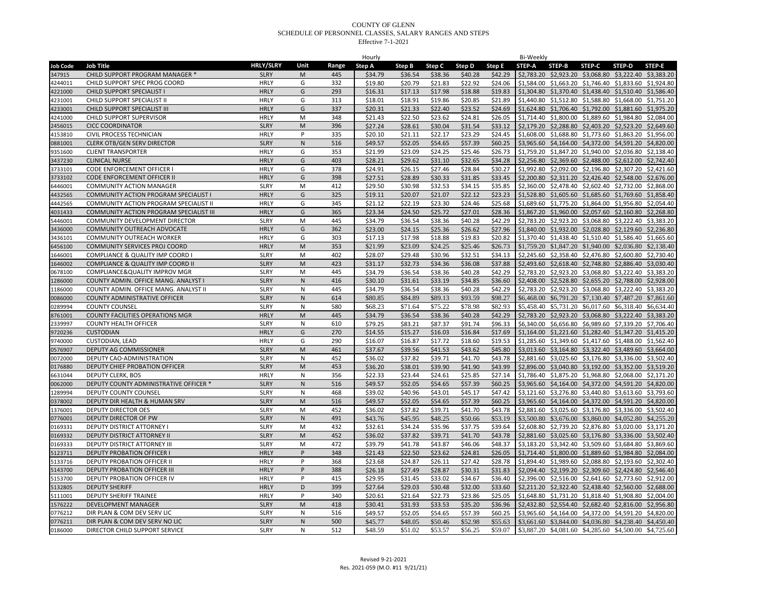|                 |                                         |                  |              |       | Hourly  |         |         |         |         | Bi-Weekly     |                                                        |               |                       |        |
|-----------------|-----------------------------------------|------------------|--------------|-------|---------|---------|---------|---------|---------|---------------|--------------------------------------------------------|---------------|-----------------------|--------|
| <b>Job Code</b> | <b>Job Title</b>                        | <b>HRLY/SLRY</b> | Unit         | Range | Step A  | Step B  | Step C  | Step D  | Step E  | <b>STEP-A</b> | STEP-B                                                 | <b>STEP-C</b> | STEP-D                | STEP-E |
| 347915          | CHILD SUPPORT PROGRAM MANAGER *         | <b>SLRY</b>      | M            | 445   | \$34.79 | \$36.54 | \$38.36 | \$40.28 | \$42.29 |               | \$2,783.20 \$2,923.20 \$3,068.80 \$3,222.40 \$3,383.20 |               |                       |        |
| 4244011         | CHILD SUPPORT SPEC PROG COORD           | <b>HRLY</b>      | G            | 332   | \$19.80 | \$20.79 | \$21.83 | \$22.92 | \$24.06 |               | \$1.584.00 \$1.663.20 \$1.746.40 \$1.833.60 \$1.924.80 |               |                       |        |
| 4221000         | CHILD SUPPORT SPECIALIST I              | <b>HRLY</b>      | G            | 293   | \$16.31 | \$17.13 | \$17.98 | \$18.88 | \$19.83 |               | \$1,304.80 \$1,370.40 \$1,438.40 \$1,510.40 \$1,586.40 |               |                       |        |
| 4231001         | CHILD SUPPORT SPECIALIST II             | <b>HRLY</b>      | G            | 313   | \$18.01 | \$18.91 | \$19.86 | \$20.85 | \$21.89 |               | \$1,440.80 \$1,512.80 \$1,588.80 \$1,668.00 \$1,751.20 |               |                       |        |
| 4233001         | CHILD SUPPORT SPECIALIST III            | <b>HRLY</b>      | G            | 337   | \$20.31 | \$21.33 | \$22.40 | \$23.52 | \$24.69 |               | \$1,624.80 \$1,706.40 \$1,792.00 \$1,881.60 \$1,975.20 |               |                       |        |
| 4241000         | CHILD SUPPORT SUPERVISOR                | <b>HRLY</b>      | M            | 348   | \$21.43 | \$22.50 | \$23.62 | \$24.81 | \$26.05 |               | \$1,714.40 \$1,800.00 \$1,889.60 \$1,984.80 \$2,084.00 |               |                       |        |
| 2456015         | <b>CICC COORDINATOR</b>                 | <b>SLRY</b>      | M            | 396   | \$27.24 | \$28.61 | \$30.04 | \$31.54 | \$33.12 |               | \$2,179.20 \$2,288.80 \$2,403.20 \$2,523.20 \$2,649.60 |               |                       |        |
| 4153810         | <b>CIVIL PROCESS TECHNICIAN</b>         | <b>HRLY</b>      | Þ            | 335   | \$20.10 | \$21.11 | \$22.17 | \$23.29 | \$24.45 |               | \$1,608.00 \$1,688.80 \$1,773.60 \$1,863.20 \$1,956.00 |               |                       |        |
| 0881001         | <b>CLERK OTB/GEN SERV DIRECTOR</b>      | <b>SLRY</b>      | ${\sf N}$    | 516   | \$49.57 | \$52.05 | \$54.65 | \$57.39 | \$60.25 |               | \$3,965.60 \$4,164.00 \$4,372.00 \$4,591.20 \$4,820.00 |               |                       |        |
| 9351600         | <b>CLIENT TRANSPORTER</b>               | <b>HRLY</b>      | G            | 353   | \$21.99 | \$23.09 | \$24.25 | \$25.46 | \$26.73 |               | \$1,759.20 \$1,847.20 \$1,940.00 \$2,036.80 \$2,138.40 |               |                       |        |
| 3437230         | <b>CLINICAL NURSE</b>                   | <b>HRLY</b>      | G            | 403   | \$28.21 | \$29.62 | \$31.10 | \$32.65 | \$34.28 |               | \$2,256.80 \$2,369.60 \$2,488.00 \$2,612.00 \$2,742.40 |               |                       |        |
| 3733101         | CODE ENFORCEMENT OFFICER I              | <b>HRLY</b>      | G            | 378   | \$24.91 | \$26.15 | \$27.46 | \$28.84 | \$30.27 |               | \$1,992.80 \$2,092.00 \$2,196.80 \$2,307.20 \$2,421.60 |               |                       |        |
| 3733102         | CODE ENFORCEMENT OFFICER II             | <b>HRLY</b>      | G            | 398   | \$27.51 | \$28.89 | \$30.33 | \$31.85 | \$33.45 |               | \$2,200.80 \$2,311.20 \$2,426.40 \$2,548.00 \$2,676.00 |               |                       |        |
| 6446001         | <b>COMMUNITY ACTION MANAGER</b>         | <b>SLRY</b>      | M            | 412   | \$29.50 | \$30.98 | \$32.53 | \$34.15 | \$35.85 |               | \$2,360.00 \$2,478.40 \$2,602.40 \$2,732.00 \$2,868.00 |               |                       |        |
| 4432565         | COMMUNITY ACTION PROGRAM SPECIALIST I   | <b>HRLY</b>      | G            | 325   | \$19.11 | \$20.07 | \$21.07 | \$22.12 | \$23.23 |               | \$1,528.80 \$1,605.60 \$1,685.60 \$1,769.60 \$1,858.40 |               |                       |        |
| 4442565         | COMMUNITY ACTION PROGRAM SPECIALIST II  | <b>HRLY</b>      | G            | 345   | \$21.12 | \$22.19 | \$23.30 | \$24.46 | \$25.68 |               | \$1,689.60 \$1,775.20 \$1,864.00 \$1,956.80 \$2,054.40 |               |                       |        |
| 4031433         | COMMUNITY ACTION PROGRAM SPECIALIST III | <b>HRLY</b>      | G            | 365   | \$23.34 | \$24.50 | \$25.72 | \$27.01 | \$28.36 |               | \$1,867.20 \$1,960.00 \$2,057.60 \$2,160.80 \$2,268.80 |               |                       |        |
| 5446001         | COMMUNITY DEVELOPMENT DIRECTOR          | <b>SLRY</b>      | M            | 445   | \$34.79 | \$36.54 | \$38.36 | \$40.28 | \$42.29 |               | \$2,783.20 \$2,923.20 \$3,068.80                       |               | \$3,222.40 \$3,383.20 |        |
| 3436000         | COMMUNITY OUTREACH ADVOCATE             | <b>HRLY</b>      | G            | 362   | \$23.00 | \$24.15 | \$25.36 | \$26.62 | \$27.96 |               | \$1,840.00 \$1,932.00 \$2,028.80 \$2,129.60 \$2,236.80 |               |                       |        |
| 3436101         | COMMUNITY OUTREACH WORKER               | <b>HRLY</b>      | G            | 303   | \$17.13 | \$17.98 | \$18.88 | \$19.83 | \$20.82 |               | \$1,370.40 \$1,438.40 \$1,510.40 \$1,586.40 \$1,665.60 |               |                       |        |
| 6456100         | COMMUNITY SERVICES PROJ COORD           | <b>HRLY</b>      | M            | 353   | \$21.99 | \$23.09 | \$24.25 | \$25.46 | \$26.73 |               | \$1,759.20 \$1,847.20 \$1,940.00                       |               | \$2,036.80 \$2,138.40 |        |
| 1646001         | COMPLIANCE & QUALITY IMP COORD          | <b>SLRY</b>      | M            | 402   | \$28.07 | \$29.48 | \$30.96 | \$32.51 | \$34.13 |               | \$2,245.60 \$2,358.40 \$2,476.80 \$2,600.80 \$2,730.40 |               |                       |        |
| 1646002         | COMPLIANCE & QUALITY IMP COORD II       | <b>SLRY</b>      | M            | 423   | \$31.17 | \$32.73 | \$34.36 | \$36.08 | \$37.88 |               | \$2,493.60 \$2,618.40 \$2,748.80 \$2,886.40 \$3,030.40 |               |                       |        |
| 0678100         | COMPLIANCE&QUALITY IMPROV MGR           | <b>SLRY</b>      | M            | 445   | \$34.79 | \$36.54 | \$38.36 | \$40.28 | \$42.29 |               | \$2,783.20 \$2,923.20 \$3,068.80 \$3,222.40 \$3,383.20 |               |                       |        |
| 1286000         | COUNTY ADMIN. OFFICE MANG. ANALYST I    | <b>SLRY</b>      | ${\sf N}$    | 416   | \$30.10 | \$31.61 | \$33.19 | \$34.85 | \$36.60 |               | \$2,408.00 \$2,528.80 \$2,655.20 \$2,788.00 \$2,928.00 |               |                       |        |
| 1186000         | COUNTY ADMIN. OFFICE MANG. ANALYST II   | <b>SLRY</b>      | N            | 445   | \$34.79 | \$36.54 | \$38.36 | \$40.28 | \$42.29 |               | \$2,783.20 \$2,923.20 \$3,068.80 \$3,222.40 \$3,383.20 |               |                       |        |
| 0086000         | COUNTY ADMINISTRATIVE OFFICER           | <b>SLRY</b>      | ${\sf N}$    | 614   | \$80.85 | \$84.89 | \$89.13 | \$93.59 | \$98.27 |               | \$6,468.00 \$6,791.20 \$7,130.40 \$7,487.20 \$7,861.60 |               |                       |        |
| 0289994         | <b>COUNTY COUNSEL</b>                   | <b>SLRY</b>      | N            | 580   | \$68.23 | \$71.64 | \$75.22 | \$78.98 | \$82.93 |               | \$5,458.40 \$5,731.20 \$6,017.60 \$6,318.40 \$6,634.40 |               |                       |        |
| 3761001         | COUNTY FACILITIES OPERATIONS MGR        | <b>HRLY</b>      | M            | 445   | \$34.79 | \$36.54 | \$38.36 | \$40.28 | \$42.29 |               | \$2,783.20 \$2,923.20 \$3,068.80 \$3,222.40 \$3,383.20 |               |                       |        |
| 2339997         | <b>COUNTY HEALTH OFFICER</b>            | <b>SLRY</b>      | N            | 610   | \$79.25 | \$83.21 | \$87.37 | \$91.74 | \$96.33 |               | \$6,340.00 \$6,656.80 \$6,989.60 \$7,339.20 \$7,706.40 |               |                       |        |
| 9720236         | <b>CUSTODIAN</b>                        | <b>HRLY</b>      | G            | 270   | \$14.55 | \$15.27 | \$16.03 | \$16.84 | \$17.69 |               | \$1,164.00 \$1,221.60 \$1,282.40 \$1,347.20 \$1,415.20 |               |                       |        |
| 9740000         | CUSTODIAN, LEAD                         | <b>HRLY</b>      | G            | 290   | \$16.07 | \$16.87 | \$17.72 | \$18.60 | \$19.53 |               | \$1,285.60 \$1,349.60 \$1,417.60 \$1,488.00 \$1,562.40 |               |                       |        |
| 0576907         | DEPUTY AG COMMISSIONER                  | <b>SLRY</b>      | M            | 461   | \$37.67 | \$39.56 | \$41.53 | \$43.62 | \$45.80 |               | \$3,013.60 \$3,164.80 \$3,322.40 \$3,489.60 \$3,664.00 |               |                       |        |
| 0072000         | DEPUTY CAO-ADMINISTRATION               | <b>SLRY</b>      | N            | 452   | \$36.02 | \$37.82 | \$39.71 | \$41.70 | \$43.78 |               | \$2,881.60 \$3,025.60 \$3,176.80 \$3,336.00 \$3,502.40 |               |                       |        |
| 0176880         | DEPUTY CHIEF PROBATION OFFICER          | <b>SLRY</b>      | ${\sf M}$    | 453   | \$36.20 | \$38.01 | \$39.90 | \$41.90 | \$43.99 |               | \$2,896.00 \$3,040.80 \$3,192.00 \$3,352.00 \$3,519.20 |               |                       |        |
| 6631044         | <b>DEPUTY CLERK, BOS</b>                | <b>HRLY</b>      | N            | 356   | \$22.33 | \$23.44 | \$24.61 | \$25.85 | \$27.14 |               | \$1,786.40 \$1,875.20 \$1,968.80 \$2,068.00 \$2,171.20 |               |                       |        |
| 0062000         | DEPUTY COUNTY ADMINISTRATIVE OFFICER *  | <b>SLRY</b>      | ${\sf N}$    | 516   | \$49.57 | \$52.05 | \$54.65 | \$57.39 | \$60.25 |               | \$3,965.60 \$4,164.00 \$4,372.00 \$4,591.20 \$4,820.00 |               |                       |        |
| 1289994         | DEPUTY COUNTY COUNSEL                   | <b>SLRY</b>      | ${\sf N}$    | 468   | \$39.02 | \$40.96 | \$43.01 | \$45.17 | \$47.42 |               | \$3,121.60 \$3,276.80 \$3,440.80 \$3,613.60 \$3,793.60 |               |                       |        |
| 0378002         | DEPUTY DIR HEALTH & HUMAN SRV           | <b>SLRY</b>      | M            | 516   | \$49.57 | \$52.05 | \$54.65 | \$57.39 | \$60.25 |               | \$3,965.60 \$4,164.00 \$4,372.00 \$4,591.20 \$4,820.00 |               |                       |        |
| 1376001         | <b>DEPUTY DIRECTOR OES</b>              | <b>SLRY</b>      | M            | 452   | \$36.02 | \$37.82 | \$39.71 | \$41.70 | \$43.78 |               | \$2,881.60 \$3,025.60 \$3,176.80 \$3,336.00 \$3,502.40 |               |                       |        |
| 0776001         | DEPUTY DIRECTOR OF PW                   | <b>SLRY</b>      | $\mathsf{N}$ | 491   | \$43.76 | \$45.95 | \$48.25 | \$50.66 | \$53.19 |               | \$3,500.80 \$3,676.00 \$3,860.00 \$4,052.80 \$4,255.20 |               |                       |        |
| 0169331         | DEPUTY DISTRICT ATTORNEY I              | <b>SLRY</b>      | M            | 432   | \$32.61 | \$34.24 | \$35.96 | \$37.75 | \$39.64 |               | \$2,608.80 \$2,739.20 \$2,876.80 \$3,020.00 \$3,171.20 |               |                       |        |
| 0169332         | DEPUTY DISTRICT ATTORNEY II             | <b>SLRY</b>      | M            | 452   | \$36.02 | \$37.82 | \$39.71 | \$41.70 | \$43.78 |               | \$2,881.60 \$3,025.60 \$3,176.80 \$3,336.00 \$3,502.40 |               |                       |        |
| 0169333         | DEPUTY DISTRICT ATTORNEY II             | <b>SLRY</b>      | M            | 472   | \$39.79 | \$41.78 | \$43.87 | \$46.06 | \$48.37 |               | \$3,183.20 \$3,342.40 \$3,509.60 \$3,684.80 \$3,869.60 |               |                       |        |
| 5123711         | <b>DEPUTY PROBATION OFFICER I</b>       | <b>HRLY</b>      | P            | 348   | \$21.43 | \$22.50 | \$23.62 | \$24.81 | \$26.05 |               | \$1,714.40 \$1,800.00 \$1,889.60 \$1,984.80 \$2,084.00 |               |                       |        |
| 5133716         | <b>DEPUTY PROBATION OFFICER II</b>      | <b>HRLY</b>      | P            | 368   | \$23.68 | \$24.87 | \$26.11 | \$27.42 | \$28.78 |               | \$1,894.40 \$1,989.60 \$2,088.80 \$2,193.60 \$2,302.40 |               |                       |        |
| 5143700         | DEPUTY PROBATION OFFICER II             | <b>HRLY</b>      | P            | 388   | \$26.18 | \$27.49 | \$28.87 | \$30.31 | \$31.83 |               | \$2,094.40 \$2,199.20 \$2,309.60 \$2,424.80 \$2,546.40 |               |                       |        |
| 5153700         | DEPUTY PROBATION OFFICER IV             | <b>HRLY</b>      | P            | 415   | \$29.95 | \$31.45 | \$33.02 | \$34.67 | \$36.40 | \$2,396.00    | \$2,516.00 \$2,641.60                                  |               | \$2,773.60 \$2,912.00 |        |
| 5132805         | <b>DEPUTY SHERIFF</b>                   | <b>HRLY</b>      | D            | 399   | \$27.64 | \$29.03 | \$30.48 | \$32.00 | \$33.60 |               | \$2,211.20 \$2,322.40 \$2,438.40 \$2,560.00 \$2,688.00 |               |                       |        |
| 5111001         | <b>DEPUTY SHERIFF TRAINEE</b>           | <b>HRLY</b>      | P            | 340   | \$20.61 | \$21.64 | \$22.73 | \$23.86 | \$25.05 |               | \$1,648.80 \$1,731.20 \$1,818.40 \$1,908.80 \$2,004.00 |               |                       |        |
| 1576222         | <b>DEVELOPMENT MANAGER</b>              | <b>SLRY</b>      | M            | 418   | \$30.41 | \$31.93 | \$33.53 | \$35.20 | \$36.96 |               | \$2,432.80 \$2,554.40 \$2,682.40 \$2,816.00 \$2,956.80 |               |                       |        |
| 0776212         | DIR PLAN & COM DEV SERV LIC             | <b>SLRY</b>      | N            | 516   | \$49.57 | \$52.05 | \$54.65 | \$57.39 | \$60.25 |               | \$3,965.60 \$4,164.00 \$4,372.00 \$4,591.20 \$4,820.00 |               |                       |        |
| 0776211         | DIR PLAN & COM DEV SERV NO LIC          | <b>SLRY</b>      | $\mathsf{N}$ | 500   | \$45.77 | \$48.05 | \$50.46 | \$52.98 | \$55.63 |               | \$3,661.60 \$3,844.00 \$4,036.80 \$4,238.40 \$4,450.40 |               |                       |        |
| 0186000         | DIRECTOR CHILD SUPPORT SERVICE          | <b>SLRY</b>      | $\mathsf{N}$ | 512   | \$48.59 | \$51.02 | \$53.57 | \$56.25 | \$59.07 |               | \$3,887.20 \$4,081.60 \$4,285.60 \$4,500.00 \$4,725.60 |               |                       |        |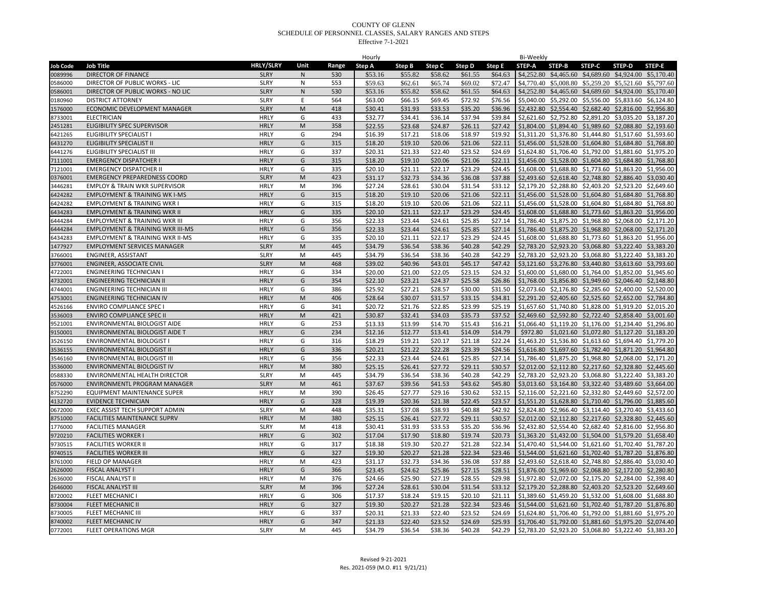|                    |                                             |                  |              |       | Hourly             |         |                    |         |         | Bi-Weekly                                                      |               |               |                                                                                                                  |        |
|--------------------|---------------------------------------------|------------------|--------------|-------|--------------------|---------|--------------------|---------|---------|----------------------------------------------------------------|---------------|---------------|------------------------------------------------------------------------------------------------------------------|--------|
| <b>Job Code</b>    | <b>Job Title</b>                            | <b>HRLY/SLRY</b> | Unit         | Range | Step A             | Step B  | Step C             | Step D  | Step E  | <b>STEP-A</b>                                                  | <b>STEP-B</b> | <b>STEP-C</b> | STEP-D                                                                                                           | STEP-E |
| 0089996            | <b>DIRECTOR OF FINANCE</b>                  | <b>SLRY</b>      | $\mathsf{N}$ | 530   | \$53.16            | \$55.82 | \$58.62            | \$61.55 | \$64.63 |                                                                |               |               | \$4,252.80 \$4,465.60 \$4,689.60 \$4,924.00 \$5,170.40                                                           |        |
| 0586000            | DIRECTOR OF PUBLIC WORKS - LIC              | <b>SLRY</b>      | N            | 553   | \$59.63            | \$62.61 | \$65.74            | \$69.02 | \$72.47 |                                                                |               |               | \$4,770.40 \$5,008.80 \$5,259.20 \$5,521.60 \$5,797.60                                                           |        |
| 0586001            | DIRECTOR OF PUBLIC WORKS - NO LIC           | <b>SLRY</b>      | ${\sf N}$    | 530   | \$53.16            | \$55.82 | \$58.62            | \$61.55 | \$64.63 |                                                                |               |               | \$4,252.80 \$4,465.60 \$4,689.60 \$4,924.00 \$5,170.40                                                           |        |
| 0180960            | <b>DISTRICT ATTORNEY</b>                    | <b>SLRY</b>      | E            | 564   | \$63.00            | \$66.15 | \$69.45            | \$72.92 | \$76.56 |                                                                |               |               | \$5,040.00 \$5,292.00 \$5,556.00 \$5,833.60 \$6,124.80                                                           |        |
| 1576000            | ECONOMIC DEVELOPMENT MANAGER                | <b>SLRY</b>      | M            | 418   | \$30.41            | \$31.93 | \$33.53            | \$35.20 | \$36.96 |                                                                |               |               | \$2,432.80 \$2,554.40 \$2,682.40 \$2,816.00 \$2,956.80                                                           |        |
| 8733001            | <b>ELECTRICIAN</b>                          | <b>HRLY</b>      | G            | 433   | \$32.77            | \$34.41 | \$36.14            | \$37.94 | \$39.84 |                                                                |               |               | \$2,621.60 \$2,752.80 \$2,891.20 \$3,035.20 \$3,187.20                                                           |        |
| 2451281            | ELIGIBILITY SPEC SUPERVISOR                 | <b>HRLY</b>      | M            | 358   | \$22.55            | \$23.68 | \$24.87            | \$26.11 | \$27.42 |                                                                |               |               | \$1,804.00 \$1,894.40 \$1,989.60 \$2,088.80 \$2,193.60                                                           |        |
| 6421265            | <b>ELIGIBILITY SPECIALIST I</b>             | <b>HRLY</b>      | G            | 294   | \$16.39            | \$17.21 | \$18.06            | \$18.97 | \$19.92 |                                                                |               |               | \$1,311.20 \$1,376.80 \$1,444.80 \$1,517.60 \$1,593.60                                                           |        |
| 6431270            | <b>ELIGIBILITY SPECIALIST II</b>            | <b>HRLY</b>      | G            | 315   | \$18.20            | \$19.10 | \$20.06            | \$21.06 | \$22.11 |                                                                |               |               | \$1,456.00 \$1,528.00 \$1,604.80 \$1,684.80 \$1,768.80                                                           |        |
| 6441276            | ELIGIBILITY SPECIALIST III                  | <b>HRLY</b>      | G            | 337   | \$20.31            | \$21.33 | \$22.40            | \$23.52 | \$24.69 |                                                                |               |               | \$1,624.80 \$1,706.40 \$1,792.00 \$1,881.60 \$1,975.20                                                           |        |
| 7111001            | <b>EMERGENCY DISPATCHER I</b>               | <b>HRLY</b>      | G            | 315   | \$18.20            | \$19.10 | \$20.06            | \$21.06 | \$22.11 |                                                                |               |               | \$1,456.00 \$1,528.00 \$1,604.80 \$1,684.80 \$1,768.80                                                           |        |
| 7121001            | <b>EMERGENCY DISPATCHER II</b>              | <b>HRLY</b>      | G            | 335   | \$20.10            | \$21.11 | \$22.17            | \$23.29 | \$24.45 |                                                                |               |               | \$1,608.00 \$1,688.80 \$1,773.60 \$1,863.20 \$1,956.00                                                           |        |
| 0376001            | <b>EMERGENCY PREPAREDNESS COORD</b>         | <b>SLRY</b>      | M            | 423   | \$31.17            | \$32.73 | \$34.36            | \$36.08 | \$37.88 |                                                                |               |               | \$2,493.60 \$2,618.40 \$2,748.80 \$2,886.40 \$3,030.40                                                           |        |
| 3446281            | <b>EMPLOY &amp; TRAIN WKR SUPERVISOR</b>    | <b>HRLY</b>      | M            | 396   | \$27.24            | \$28.61 | \$30.04            | \$31.54 | \$33.12 |                                                                |               |               | \$2,179.20 \$2,288.80 \$2,403.20 \$2,523.20 \$2,649.60                                                           |        |
| 6424282            | <b>EMPLOYMENT &amp; TRAINING WK I-MS</b>    | <b>HRLY</b>      | G            | 315   | \$18.20            | \$19.10 | \$20.06            | \$21.06 | \$22.11 | \$1,456.00 \$1,528.00 \$1,604.80 \$1,684.80 \$1,768.80         |               |               |                                                                                                                  |        |
| 6424282            | <b>EMPLOYMENT &amp; TRAINING WKR I</b>      | <b>HRLY</b>      | G            | 315   | \$18.20            | \$19.10 | \$20.06            | \$21.06 | \$22.11 |                                                                |               |               | \$1,456.00 \$1,528.00 \$1,604.80 \$1,684.80 \$1,768.80                                                           |        |
| 6434283            | <b>EMPLOYMENT &amp; TRAINING WKR II</b>     | <b>HRLY</b>      | G            | 335   | \$20.10            | \$21.11 | \$22.17            | \$23.29 | \$24.45 |                                                                |               |               | \$1,608.00 \$1,688.80 \$1,773.60 \$1,863.20 \$1,956.00                                                           |        |
| 6444284            | <b>EMPLOYMENT &amp; TRAINING WKR III</b>    | <b>HRLY</b>      | G            | 356   | \$22.33            | \$23.44 | \$24.61            | \$25.85 | \$27.14 | \$1,786.40 \$1,875.20 \$1,968.80                               |               |               | \$2,068.00 \$2,171.20                                                                                            |        |
| 6444284            | <b>EMPLOYMENT &amp; TRAINING WKR III-MS</b> | <b>HRLY</b>      | G            | 356   | \$22.33            | \$23.44 | \$24.61            | \$25.85 | \$27.14 |                                                                |               |               | \$1,786.40 \$1,875.20 \$1,968.80 \$2,068.00 \$2,171.20                                                           |        |
|                    | <b>EMPLOYMENT &amp; TRAINING WKR II-MS</b>  | <b>HRLY</b>      | G            | 335   |                    | \$21.11 |                    | \$23.29 | \$24.45 |                                                                |               |               |                                                                                                                  |        |
| 6434283<br>1477927 |                                             | <b>SLRY</b>      | ${\sf M}$    | 445   | \$20.10<br>\$34.79 | \$36.54 | \$22.17<br>\$38.36 | \$40.28 | \$42.29 |                                                                |               |               | \$1,608.00 \$1,688.80 \$1,773.60 \$1,863.20 \$1,956.00<br>\$2,783.20 \$2,923.20 \$3,068.80 \$3,222.40 \$3,383.20 |        |
|                    | <b>EMPLOYMENT SERVICES MANAGER</b>          |                  |              |       |                    |         |                    |         |         |                                                                |               |               |                                                                                                                  |        |
| 3766001            | ENGINEER, ASSISTANT                         | <b>SLRY</b>      | M            | 445   | \$34.79            | \$36.54 | \$38.36            | \$40.28 | \$42.29 |                                                                |               |               | \$2,783.20 \$2,923.20 \$3,068.80 \$3,222.40 \$3,383.20                                                           |        |
| 3776001            | <b>ENGINEER, ASSOCIATE CIVIL</b>            | <b>SLRY</b>      | M            | 468   | \$39.02            | \$40.96 | \$43.01            | \$45.17 | \$47.42 |                                                                |               |               | \$3,121.60 \$3,276.80 \$3,440.80 \$3,613.60 \$3,793.60                                                           |        |
| 4722001            | <b>ENGINEERING TECHNICIAN I</b>             | <b>HRLY</b>      | G            | 334   | \$20.00            | \$21.00 | \$22.05            | \$23.15 | \$24.32 |                                                                |               |               | \$1,600.00 \$1,680.00 \$1,764.00 \$1,852.00 \$1,945.60                                                           |        |
| 4732001            | <b>ENGINEERING TECHNICIAN II</b>            | <b>HRLY</b>      | G            | 354   | \$22.10            | \$23.21 | \$24.37            | \$25.58 | \$26.86 |                                                                |               |               | \$1,768.00 \$1,856.80 \$1,949.60 \$2,046.40 \$2,148.80                                                           |        |
| 4744001            | <b>ENGINEERING TECHNICIAN III</b>           | <b>HRLY</b>      | G            | 386   | \$25.92            | \$27.21 | \$28.57            | \$30.00 | \$31.50 |                                                                |               |               | \$2,073.60 \$2,176.80 \$2,285.60 \$2,400.00 \$2,520.00                                                           |        |
| 4753001            | ENGINEERING TECHNICIAN IV                   | <b>HRLY</b>      | ${\sf M}$    | 406   | \$28.64            | \$30.07 | \$31.57            | \$33.15 | \$34.81 |                                                                |               |               | \$2,291.20 \$2,405.60 \$2,525.60 \$2,652.00 \$2,784.80                                                           |        |
| 4526166            | <b>ENVIRO COMPLIANCE SPEC I</b>             | <b>HRLY</b>      | G            | 341   | \$20.72            | \$21.76 | \$22.85            | \$23.99 | \$25.19 |                                                                |               |               | \$1,657.60 \$1,740.80 \$1,828.00 \$1,919.20 \$2,015.20                                                           |        |
| 3536003            | <b>ENVIRO COMPLIANCE SPEC II</b>            | <b>HRLY</b>      | ${\sf M}$    | 421   | \$30.87            | \$32.41 | \$34.03            | \$35.73 | \$37.52 |                                                                |               |               | \$2,469.60 \$2,592.80 \$2,722.40 \$2,858.40 \$3,001.60                                                           |        |
| 9521001            | ENVIRONMENTAL BIOLOGIST AIDE                | <b>HRLY</b>      | G            | 253   | \$13.33            | \$13.99 | \$14.70            | \$15.43 | \$16.21 |                                                                |               |               | \$1,066.40 \$1,119.20 \$1,176.00 \$1,234.40 \$1,296.80                                                           |        |
| 9150001            | ENVIRONMENTAL BIOLOGIST AIDE T              | <b>HRLY</b>      | G            | 234   | \$12.16            | \$12.77 | \$13.41            | \$14.09 | \$14.79 | \$972.80                                                       |               |               | \$1,021.60 \$1,072.80 \$1,127.20 \$1,183.20                                                                      |        |
| 3526150            | ENVIRONMENTAL BIOLOGIST I                   | <b>HRLY</b>      | G            | 316   | \$18.29            | \$19.21 | \$20.17            | \$21.18 | \$22.24 |                                                                |               |               | \$1,463.20 \$1,536.80 \$1,613.60 \$1,694.40 \$1,779.20                                                           |        |
| 3536155            | <b>ENVIRONMENTAL BIOLOGIST II</b>           | <b>HRLY</b>      | G            | 336   | \$20.21            | \$21.22 | \$22.28            | \$23.39 | \$24.56 |                                                                |               |               | \$1,616.80 \$1,697.60 \$1,782.40 \$1,871.20 \$1,964.80                                                           |        |
| 3546160            | ENVIRONMENTAL BIOLOGIST III                 | <b>HRLY</b>      | G            | 356   | \$22.33            | \$23.44 | \$24.61            | \$25.85 | \$27.14 |                                                                |               |               | \$1,786.40 \$1,875.20 \$1,968.80 \$2,068.00 \$2,171.20                                                           |        |
| 3536000            | ENVIRONMENTAL BIOLOGIST IV                  | <b>HRLY</b>      | ${\sf M}$    | 380   | \$25.15            | \$26.41 | \$27.72            | \$29.11 | \$30.57 |                                                                |               |               | \$2,012.00 \$2,112.80 \$2,217.60 \$2,328.80 \$2,445.60                                                           |        |
| 0588330            | ENVIRONMENTAL HEALTH DIRECTOR               | <b>SLRY</b>      | M            | 445   | \$34.79            | \$36.54 | \$38.36            | \$40.28 | \$42.29 |                                                                |               |               | \$2,783.20 \$2,923.20 \$3,068.80 \$3,222.40 \$3,383.20                                                           |        |
| 0576000            | ENVIRONMENTL PROGRAM MANAGER                | <b>SLRY</b>      | M            | 461   | \$37.67            | \$39.56 | \$41.53            | \$43.62 | \$45.80 |                                                                |               |               | \$3,013.60 \$3,164.80 \$3,322.40 \$3,489.60 \$3,664.00                                                           |        |
| 8752290            | EQUIPMENT MAINTENANCE SUPER                 | <b>HRLY</b>      | M            | 390   | \$26.45            | \$27.77 | \$29.16            | \$30.62 | \$32.15 |                                                                |               |               | \$2,116.00 \$2,221.60 \$2,332.80 \$2,449.60 \$2,572.00                                                           |        |
| 4132720            | <b>EVIDENCE TECHNICIAN</b>                  | <b>HRLY</b>      | G            | 328   | \$19.39            | \$20.36 | \$21.38            | \$22.45 | \$23.57 |                                                                |               |               | \$1,551.20 \$1,628.80 \$1,710.40 \$1,796.00 \$1,885.60                                                           |        |
| 0672000            | EXEC ASSIST TECH SUPPORT ADMIN              | <b>SLRY</b>      | M            | 448   | \$35.31            | \$37.08 | \$38.93            | \$40.88 | \$42.92 |                                                                |               |               | \$2,824.80 \$2,966.40 \$3,114.40 \$3,270.40 \$3,433.60                                                           |        |
| 8751000            | <b>FACILITIES MAINTENANCE SUPRV</b>         | <b>HRLY</b>      | M            | 380   | \$25.15            | \$26.41 | \$27.72            | \$29.11 | \$30.57 |                                                                |               |               | \$2,012.00 \$2,112.80 \$2,217.60 \$2,328.80 \$2,445.60                                                           |        |
| 1776000            | <b>FACILITIES MANAGER</b>                   | <b>SLRY</b>      | M            | 418   | \$30.41            | \$31.93 | \$33.53            | \$35.20 | \$36.96 |                                                                |               |               | \$2,432.80 \$2,554.40 \$2,682.40 \$2,816.00 \$2,956.80                                                           |        |
| 9720210            | <b>FACILITIES WORKER I</b>                  | <b>HRLY</b>      | G            | 302   | \$17.04            | \$17.90 | \$18.80            | \$19.74 | \$20.73 |                                                                |               |               | \$1,363.20 \$1,432.00 \$1,504.00 \$1,579.20 \$1,658.40                                                           |        |
| 9730515            | <b>FACILITIES WORKER II</b>                 | <b>HRLY</b>      | G            | 317   | \$18.38            | \$19.30 | \$20.27            | \$21.28 | \$22.34 |                                                                |               |               | \$1,470.40 \$1,544.00 \$1,621.60 \$1,702.40 \$1,787.20                                                           |        |
| 9740515            | <b>FACILITIES WORKER III</b>                | <b>HRLY</b>      | G            | 327   | \$19.30            | \$20.27 | \$21.28            | \$22.34 | \$23.46 |                                                                |               |               | \$1,544.00 \$1,621.60 \$1,702.40 \$1,787.20 \$1,876.80                                                           |        |
| 8761000            | <b>FIELD OP MANAGER</b>                     | <b>HRLY</b>      | M            | 423   | \$31.17            | \$32.73 | \$34.36            | \$36.08 | \$37.88 |                                                                |               |               | \$2,493.60 \$2,618.40 \$2,748.80 \$2,886.40 \$3,030.40                                                           |        |
| 2626000            | <b>FISCAL ANALYST I</b>                     | <b>HRLY</b>      | G            | 366   | \$23.45            | \$24.62 | \$25.86            | \$27.15 | \$28.51 |                                                                |               |               | \$1,876.00 \$1,969.60 \$2,068.80 \$2,172.00 \$2,280.80                                                           |        |
| 2636000            | FISCAL ANALYST II                           | <b>HRLY</b>      | M            | 376   | \$24.66            | \$25.90 | \$27.19            | \$28.55 | \$29.98 |                                                                |               |               | \$1,972.80 \$2,072.00 \$2,175.20 \$2,284.00 \$2,398.40                                                           |        |
| 2646000            | FISCAL ANALYST III                          | <b>SLRY</b>      | ${\sf M}$    | 396   | \$27.24            | \$28.61 | \$30.04            | \$31.54 | \$33.12 |                                                                |               |               | \$2,179.20 \$2,288.80 \$2,403.20 \$2,523.20 \$2,649.60                                                           |        |
| 8720002            | <b>FLEET MECHANIC I</b>                     | <b>HRLY</b>      | G            | 306   | \$17.37            | \$18.24 | \$19.15            | \$20.10 | \$21.11 | \$1,389.60 \$1,459.20 \$1,532.00 \$1,608.00 \$1,688.80         |               |               |                                                                                                                  |        |
| 8730004            | <b>FLEET MECHANIC II</b>                    | <b>HRLY</b>      | G            | 327   | \$19.30            | \$20.27 | \$21.28            | \$22.34 | \$23.46 |                                                                |               |               | \$1,544.00 \$1,621.60 \$1,702.40 \$1,787.20 \$1,876.80                                                           |        |
| 8730005            | FLEET MECHANIC III                          | <b>HRLY</b>      | G            | 337   | \$20.31            | \$21.33 | \$22.40            | \$23.52 | \$24.69 |                                                                |               |               | \$1,624.80 \$1,706.40 \$1,792.00 \$1,881.60 \$1,975.20                                                           |        |
| 8740002            | <b>FLEET MECHANIC IV</b>                    | <b>HRLY</b>      | G            | 347   | \$21.33            | \$22.40 | \$23.52            | \$24.69 | \$25.93 | \$1,706.40 \$1,792.00 \$1,881.60 \$1,975.20 \$2,074.40         |               |               |                                                                                                                  |        |
| 0772001            | <b>FLEET OPERATIONS MGR</b>                 | <b>SLRY</b>      | M            | 445   | \$34.79            | \$36.54 | \$38.36            | \$40.28 |         | \$42.29 \$2,783.20 \$2,923.20 \$3,068.80 \$3,222.40 \$3,383.20 |               |               |                                                                                                                  |        |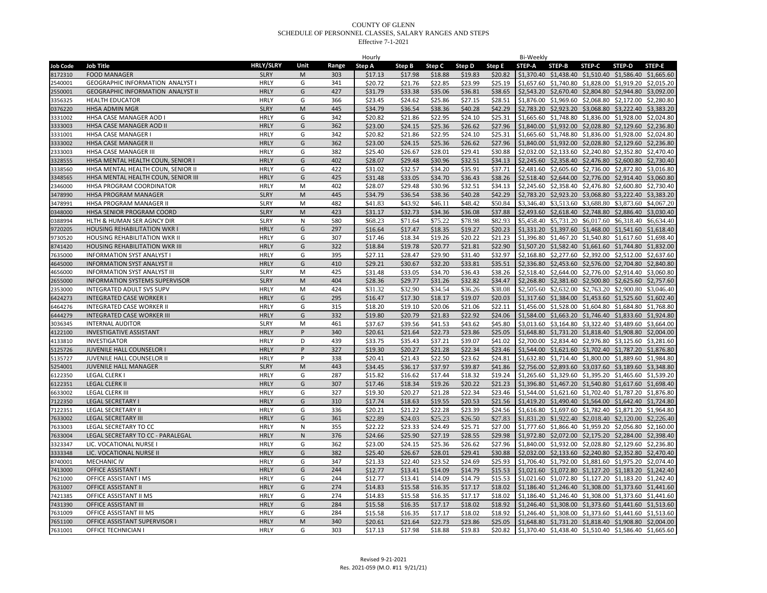| <b>STEP-A</b><br>STEP-B<br><b>STEP-C</b><br><b>STEP-D</b><br><b>Job Title</b><br>Range<br>Step A<br>Step B<br>Step C<br>Step D<br>Step E<br>8172310<br><b>FOOD MANAGER</b><br><b>SLRY</b><br>M<br>303<br>\$18.88<br>\$19.83<br>\$20.82<br>\$1,370.40 \$1,438.40 \$1,510.40 \$1,586.40 \$1,665.60<br>\$17.13<br>\$17.98<br>G<br>\$22.85<br>\$23.99<br>\$25.19<br>\$1,657.60 \$1,740.80 \$1,828.00 \$1,919.20 \$2,015.20<br>2540001<br><b>GEOGRAPHIC INFORMATION ANALYST I</b><br><b>HRLY</b><br>341<br>\$20.72<br>\$21.76<br><b>GEOGRAPHIC INFORMATION ANALYST II</b><br><b>HRLY</b><br>G<br>427<br>\$31.79<br>\$33.38<br>\$35.06<br>\$36.81<br>\$38.65<br>\$2,543.20 \$2,670.40 \$2,804.80 \$2,944.80 \$3,092.00<br>2550001<br><b>HRLY</b><br>G<br>366<br>\$27.15<br>\$1,876.00 \$1,969.60 \$2,068.80 \$2,172.00 \$2,280.80<br>3356325<br><b>HEALTH EDUCATOR</b><br>\$23.45<br>\$24.62<br>\$25.86<br>\$28.51<br><b>SLRY</b><br>M<br>\$40.28<br>\$2,783.20 \$2,923.20 \$3,068.80 \$3,222.40 \$3,383.20<br>0376220<br><b>HHSA ADMIN MGR</b><br>445<br>\$34.79<br>\$36.54<br>\$38.36<br>\$42.29<br><b>HRLY</b><br>G<br>\$24.10<br>\$25.31<br>3331002<br>HHSA CASE MANAGER AOD I<br>342<br>\$20.82<br>\$21.86<br>\$22.95<br>\$1,665.60 \$1,748.80 \$1,836.00 \$1,928.00 \$2,024.80<br><b>HRLY</b><br>G<br>3333003<br>HHSA CASE MANAGER AOD II<br>362<br>\$25.36<br>\$26.62<br>\$27.96<br>\$1,840.00 \$1,932.00 \$2,028.80 \$2,129.60 \$2,236.80<br>\$23.00<br>\$24.15<br>G<br>HHSA CASE MANAGER I<br><b>HRLY</b><br>342<br>\$21.86<br>\$22.95<br>\$24.10<br>\$25.31<br>\$1,665.60 \$1,748.80 \$1,836.00 \$1,928.00 \$2,024.80<br>3331001<br>\$20.82<br>G<br>\$27.96<br>3333002<br><b>HHSA CASE MANAGER II</b><br><b>HRLY</b><br>362<br>\$23.00<br>\$24.15<br>\$25.36<br>\$26.62<br>\$1,840.00 \$1,932.00 \$2,028.80 \$2,129.60 \$2,236.80<br><b>HRLY</b><br>G<br>\$29.41<br>\$2,032.00 \$2,133.60 \$2,240.80 \$2,352.80 \$2,470.40<br>2333003<br>HHSA CASE MANAGER III<br>382<br>\$26.67<br>\$28.01<br>\$30.88<br>\$25.40<br>G<br>\$32.51<br>\$2,245.60 \$2,358.40 \$2,476.80 \$2,600.80 \$2,730.40<br>3328555<br>HHSA MENTAL HEALTH COUN, SENIOR I<br><b>HRLY</b><br>402<br>\$28.07<br>\$29.48<br>\$30.96<br>\$34.13<br><b>HRLY</b><br>G<br>\$32.57<br>\$34.20<br>\$35.91<br>\$37.71<br>\$2,481.60 \$2,605.60 \$2,736.00 \$2,872.80 \$3,016.80<br>3338560<br>HHSA MENTAL HEALTH COUN, SENIOR II<br>422<br>\$31.02<br><b>HRLY</b><br>G<br>425<br>HHSA MENTAL HEALTH COUN, SENIOR III<br>\$33.05<br>\$34.70<br>\$36.43<br>\$38.26<br>\$2,518.40 \$2,644.00 \$2,776.00 \$2,914.40 \$3,060.80<br>3348565<br>\$31.48<br>HHSA PROGRAM COORDINATOR<br><b>HRLY</b><br>M<br>402<br>\$28.07<br>\$29.48<br>\$30.96<br>\$32.51<br>\$34.13<br>\$2,245.60 \$2,358.40 \$2,476.80 \$2,600.80 \$2,730.40<br>2346000<br><b>SLRY</b><br>M<br>\$34.79<br>\$36.54<br>\$38.36<br>\$40.28<br>\$42.29<br>\$2,783.20 \$2,923.20 \$3,068.80 \$3,222.40 \$3,383.20<br>3478990<br>HHSA PROGRAM MANAGER<br>445<br>HHSA PROGRAM MANAGER II<br><b>SLRY</b><br>M<br>482<br>\$48.42<br>\$50.84<br>\$3,346.40 \$3,513.60 \$3,688.80 \$3,873.60 \$4,067.20<br>3478991<br>\$41.83<br>\$43.92<br>\$46.11<br>HHSA SENIOR PROGRAM COORD<br><b>SLRY</b><br>M<br>423<br>\$31.17<br>\$32.73<br>\$37.88<br>\$2,493.60 \$2,618.40 \$2,748.80 \$2,886.40 \$3,030.40<br>0348000<br>\$34.36<br>\$36.08<br>\$75.22<br>\$78.98<br>\$5,458.40 \$5,731.20 \$6,017.60 \$6,318.40 \$6,634.40<br><b>SLRY</b><br>N<br>580<br>\$68.23<br>\$71.64<br>\$82.93<br>0388994<br>HLTH & HUMAN SER AGNCY DIR<br>G<br><b>HRLY</b><br>\$18.35<br>\$19.27<br>\$20.23<br>\$1,331.20 \$1,397.60 \$1,468.00 \$1,541.60 \$1,618.40<br><b>HOUSING REHABILITATION WKR I</b><br>297<br>\$16.64<br>\$17.47<br>9720205<br>9730520<br>HOUSING REHABILITATION WKR II<br><b>HRLY</b><br>G<br>307<br>\$17.46<br>\$18.34<br>\$19.26<br>\$20.22<br>\$21.23<br>\$1,396.80 \$1,467.20 \$1,540.80 \$1,617.60 \$1,698.40<br><b>HRLY</b><br>G<br>322<br>\$20.77<br>\$21.81<br>\$22.90<br>\$1,507.20 \$1,582.40 \$1,661.60 \$1,744.80 \$1,832.00<br>8741420<br><b>HOUSING REHABILITATION WKR III</b><br>\$18.84<br>\$19.78<br><b>INFORMATION SYST ANALYST I</b><br><b>HRLY</b><br>G<br>395<br>\$27.11<br>\$28.47<br>\$29.90<br>\$31.40<br>\$32.97<br>\$2,168.80 \$2,277.60 \$2,392.00 \$2,512.00 \$2,637.60<br>7635000<br><b>INFORMATION SYST ANALYST II</b><br><b>HRLY</b><br>G<br>410<br>\$33.81<br>\$35.51<br>\$2,336.80 \$2,453.60 \$2,576.00 \$2,704.80 \$2,840.80<br>4645000<br>\$29.21<br>\$30.67<br>\$32.20<br><b>SLRY</b><br>M<br>\$36.43<br>\$38.26<br>\$2,518.40 \$2,644.00 \$2,776.00<br><b>INFORMATION SYST ANALYST III</b><br>425<br>\$31.48<br>\$33.05<br>\$34.70<br>\$2,914.40 \$3,060.80<br>4656000<br><b>SLRY</b><br>M<br>404<br>\$28.36<br>\$31.26<br>\$32.82<br>\$34.47<br>\$2,268.80 \$2,381.60 \$2,500.80 \$2,625.60 \$2,757.60<br>2655000<br>INFORMATION SYSTEMS SUPERVISOR<br>\$29.77<br><b>HRLY</b><br>M<br>\$2,505.60 \$2,632.00 \$2,763.20 \$2,900.80 \$3,046.40<br>INTEGRATED ADULT SVS SUPV<br>424<br>\$32.90<br>\$34.54<br>\$36.26<br>\$38.08<br>2353000<br>\$31.32<br><b>HRLY</b><br>G<br>295<br>\$19.07<br>\$20.03<br>INTEGRATED CASE WORKER I<br>\$16.47<br>\$17.30<br>\$18.17<br>\$1,317.60 \$1,384.00 \$1,453.60 \$1,525.60 \$1,602.40<br>6424273<br>\$22.11<br>\$1,456.00 \$1,528.00 \$1,604.80 \$1,684.80 \$1,768.80<br>6464276<br><b>INTEGRATED CASE WORKER II</b><br><b>HRLY</b><br>G<br>315<br>\$18.20<br>\$19.10<br>\$20.06<br>\$21.06<br><b>HRLY</b><br>G<br><b>INTEGRATED CASE WORKER III</b><br>332<br>\$22.92<br>\$24.06<br>\$1,584.00 \$1,663.20 \$1,746.40 \$1,833.60 \$1,924.80<br>5444279<br>\$19.80<br>\$20.79<br>\$21.83<br><b>SLRY</b><br>M<br>\$43.62<br>\$45.80<br>\$3,013.60 \$3,164.80 \$3,322.40 \$3,489.60 \$3,664.00<br>3036345<br><b>INTERNAL AUDITOR</b><br>461<br>\$37.67<br>\$39.56<br>\$41.53<br><b>HRLY</b><br>\$23.86<br>\$25.05<br>4122100<br><b>INVESTIGATIVE ASSISTANT</b><br>P<br>340<br>\$20.61<br>\$21.64<br>\$22.73<br>\$1,648.80 \$1,731.20 \$1,818.40 \$1,908.80 \$2,004.00<br><b>HRLY</b><br><b>INVESTIGATOR</b><br>D<br>439<br>\$37.21<br>\$39.07<br>\$41.02<br>\$2,700.00 \$2,834.40 \$2,976.80 \$3,125.60 \$3,281.60<br>4133810<br>\$33.75<br>\$35.43<br>5125726<br>JUVENILE HALL COUNSELOR I<br><b>HRLY</b><br>P<br>327<br>\$19.30<br>\$20.27<br>\$21.28<br>\$22.34<br>\$23.46<br>\$1,544.00 \$1,621.60 \$1,702.40 \$1,787.20 \$1,876.80<br><b>HRLY</b><br>P<br>\$20.41<br>\$21.43<br>\$22.50<br>\$23.62<br>\$24.81<br>\$1,632.80 \$1,714.40 \$1,800.00 \$1,889.60 \$1,984.80<br>5135727<br>JUVENILE HALL COUNSELOR II<br>338<br><b>SLRY</b><br>M<br>\$37.97<br>\$2,756.00 \$2,893.60 \$3,037.60 \$3,189.60 \$3,348.80<br>5254001<br><b>JUVENILE HALL MANAGER</b><br>443<br>\$34.45<br>\$36.17<br>\$39.87<br>\$41.86<br><b>LEGAL CLERK I</b><br><b>HRLY</b><br>287<br>\$1,265.60 \$1,329.60 \$1,395.20 \$1,465.60 \$1,539.20<br>5122350<br>G<br>\$15.82<br>\$16.62<br>\$17.44<br>\$18.32<br>\$19.24<br><b>HRLY</b><br>\$21.23<br>\$1,396.80 \$1,467.20 \$1,540.80 \$1,617.60 \$1,698.40<br>6122351<br><b>LEGAL CLERK II</b><br>G<br>307<br>\$17.46<br>\$18.34<br>\$19.26<br>\$20.22<br><b>HRLY</b><br>G<br>\$22.34<br><b>LEGAL CLERK III</b><br>327<br>\$19.30<br>\$20.27<br>\$21.28<br>\$23.46<br>\$1,544.00 \$1,621.60 \$1,702.40 \$1,787.20 \$1,876.80<br>5633002<br><b>HRLY</b><br>G<br>310<br>7122350<br><b>LEGAL SECRETARY I</b><br>\$17.74<br>\$18.63<br>\$19.55<br>\$20.53<br>\$21.56<br>\$1,419.20 \$1,490.40 \$1,564.00 \$1,642.40 \$1,724.80<br>7122351<br><b>LEGAL SECRETARY II</b><br><b>HRLY</b><br>G<br>336<br>\$20.21<br>\$21.22<br>\$22.28<br>\$23.39<br>\$24.56<br>\$1,616.80 \$1,697.60 \$1,782.40 \$1,871.20 \$1,964.80<br><b>HRLY</b><br>G<br>\$25.23<br>\$27.83<br><b>LEGAL SECRETARY III</b><br>361<br>\$22.89<br>\$24.03<br>\$26.50<br>\$1,831.20 \$1,922.40 \$2,018.40 \$2,120.00 \$2,226.40<br>7633002<br>7633003<br>LEGAL SECRETARY TO CC<br><b>HRLY</b><br>${\sf N}$<br>355<br>\$22.22<br>\$23.33<br>\$25.71<br>\$27.00<br>\$1,777.60 \$1,866.40 \$1,959.20 \$2,056.80 \$2,160.00<br>\$24.49<br><b>HRLY</b><br>$\mathsf{N}$<br>376<br>\$27.19<br>\$28.55<br>\$29.98<br>\$1,972.80 \$2,072.00 \$2,175.20 \$2,284.00 \$2,398.40<br>7633004<br>LEGAL SECRETARY TO CC - PARALEGAL<br>\$24.66<br>\$25.90<br><b>HRLY</b><br>G<br>\$25.36<br>\$26.62<br>\$27.96<br>\$1,840.00 \$1,932.00 \$2,028.80 \$2,129.60 \$2,236.80<br>3323347<br>LIC. VOCATIONAL NURSE I<br>362<br>\$23.00<br>\$24.15<br>LIC. VOCATIONAL NURSE II<br><b>HRLY</b><br>G<br>382<br>\$29.41<br>\$2,032.00 \$2,133.60 \$2,240.80 \$2,352.80 \$2,470.40<br>3333348<br>\$25.40<br>\$26.67<br>\$28.01<br>\$30.88<br><b>HRLY</b><br>G<br>347<br>\$23.52<br>\$24.69<br>\$25.93<br>\$1,706.40 \$1,792.00 \$1,881.60 \$1,975.20 \$2,074.40<br>3740001<br><b>MECHANIC IV</b><br>\$21.33<br>\$22.40<br><b>HRLY</b><br>G<br>\$14.79<br>\$15.53<br>\$1,021.60 \$1,072.80 \$1,127.20 \$1,183.20 \$1,242.40<br>7413000<br><b>OFFICE ASSISTANT I</b><br>244<br>\$12.77<br>\$13.41<br>\$14.09<br>G<br>OFFICE ASSISTANT I MS<br><b>HRLY</b><br>244<br>\$14.79<br>\$15.53<br>\$1,021.60 \$1,072.80 \$1,127.20 \$1,183.20 \$1,242.40<br>7621000<br>\$12.77<br>\$13.41<br>\$14.09<br>G<br><b>OFFICE ASSISTANT II</b><br><b>HRLY</b><br>274<br>\$15.58<br>\$17.17<br>\$18.02<br>\$1,186.40 \$1,246.40 \$1,308.00 \$1,373.60 \$1,441.60<br>7631007<br>\$14.83<br>\$16.35<br>OFFICE ASSISTANT II MS<br><b>HRLY</b><br>G<br>274<br>\$14.83<br>\$15.58<br>\$16.35<br>\$17.17<br>\$18.02<br>\$1,186.40 \$1,246.40 \$1,308.00 \$1,373.60 \$1,441.60<br>7421385<br><b>HRLY</b><br>G<br>284<br>\$1,246.40 \$1,308.00 \$1,373.60 \$1,441.60 \$1,513.60<br>7431390<br>OFFICE ASSISTANT III<br>\$15.58<br>\$16.35<br>\$17.17<br>\$18.02<br>\$18.92<br>\$1,246.40 \$1,308.00 \$1,373.60 \$1,441.60 \$1,513.60<br>OFFICE ASSISTANT III MS<br><b>HRLY</b><br>G<br>284<br>\$15.58<br>\$16.35<br>\$17.17<br>\$18.02<br>\$18.92<br>7631009<br><b>HRLY</b><br>M<br>340<br>\$20.61<br>\$21.64<br>\$22.73<br>\$23.86<br>\$25.05<br>\$1,648.80 \$1,731.20 \$1,818.40 \$1,908.80 \$2,004.00<br>7651100<br>OFFICE ASSISTANT SUPERVISOR I<br><b>HRLY</b><br>G<br>303<br>\$17.98<br>\$18.88<br>\$19.83<br>\$20.82 \$1,370.40 \$1,438.40 \$1,510.40 \$1,586.40 \$1,665.60<br>7631001<br>OFFICE TECHNICIAN I<br>\$17.13 |                 |                  |      | Hourly |  |  | Bi-Weekly |  |        |
|------------------------------------------------------------------------------------------------------------------------------------------------------------------------------------------------------------------------------------------------------------------------------------------------------------------------------------------------------------------------------------------------------------------------------------------------------------------------------------------------------------------------------------------------------------------------------------------------------------------------------------------------------------------------------------------------------------------------------------------------------------------------------------------------------------------------------------------------------------------------------------------------------------------------------------------------------------------------------------------------------------------------------------------------------------------------------------------------------------------------------------------------------------------------------------------------------------------------------------------------------------------------------------------------------------------------------------------------------------------------------------------------------------------------------------------------------------------------------------------------------------------------------------------------------------------------------------------------------------------------------------------------------------------------------------------------------------------------------------------------------------------------------------------------------------------------------------------------------------------------------------------------------------------------------------------------------------------------------------------------------------------------------------------------------------------------------------------------------------------------------------------------------------------------------------------------------------------------------------------------------------------------------------------------------------------------------------------------------------------------------------------------------------------------------------------------------------------------------------------------------------------------------------------------------------------------------------------------------------------------------------------------------------------------------------------------------------------------------------------------------------------------------------------------------------------------------------------------------------------------------------------------------------------------------------------------------------------------------------------------------------------------------------------------------------------------------------------------------------------------------------------------------------------------------------------------------------------------------------------------------------------------------------------------------------------------------------------------------------------------------------------------------------------------------------------------------------------------------------------------------------------------------------------------------------------------------------------------------------------------------------------------------------------------------------------------------------------------------------------------------------------------------------------------------------------------------------------------------------------------------------------------------------------------------------------------------------------------------------------------------------------------------------------------------------------------------------------------------------------------------------------------------------------------------------------------------------------------------------------------------------------------------------------------------------------------------------------------------------------------------------------------------------------------------------------------------------------------------------------------------------------------------------------------------------------------------------------------------------------------------------------------------------------------------------------------------------------------------------------------------------------------------------------------------------------------------------------------------------------------------------------------------------------------------------------------------------------------------------------------------------------------------------------------------------------------------------------------------------------------------------------------------------------------------------------------------------------------------------------------------------------------------------------------------------------------------------------------------------------------------------------------------------------------------------------------------------------------------------------------------------------------------------------------------------------------------------------------------------------------------------------------------------------------------------------------------------------------------------------------------------------------------------------------------------------------------------------------------------------------------------------------------------------------------------------------------------------------------------------------------------------------------------------------------------------------------------------------------------------------------------------------------------------------------------------------------------------------------------------------------------------------------------------------------------------------------------------------------------------------------------------------------------------------------------------------------------------------------------------------------------------------------------------------------------------------------------------------------------------------------------------------------------------------------------------------------------------------------------------------------------------------------------------------------------------------------------------------------------------------------------------------------------------------------------------------------------------------------------------------------------------------------------------------------------------------------------------------------------------------------------------------------------------------------------------------------------------------------------------------------------------------------------------------------------------------------------------------------------------------------------------------------------------------------------------------------------------------------------------------------------------------------------------------------------------------------------------------------------------------------------------------------------------------------------------------------------------------------------------------------------------------------------------------------------------------------------------------------------------------------------------------------------------------------------------------------------------------------------------------------------------------------------------------------------------------------------------------------------------------------------------------------------------------------------------------------------------------------------------------------------------------------------------------------------------------------------------------------------------------------------------------------------------------------------------------------------------------------------------------------------------------------------------------------------------------------------------------------------------------------------------------------------------------------------------------------------------------------------------------------------------------------------------------------------------------------------------------------------------------------------------------------------------------------------------------------------------------------------------------------------------------------------------------------------------------------------------------------------------------------------------------------------------------------------------------------------------------------------------------------------------------------------------------------------------------------------------------------------------------------------------------------------------------------------------------------------------------------------------------------------------------------------------------------------------------------------------------------------------------------------------------------------------------------------------------------------------------------------------------------------------------------------------------------------------------------------------------------------------------------------------------------------------------------------------------------------------------------------------------------------------------------------------------------------------------------------------------------------------------------------------------------------------------------------------------------------------------------------------------------------------------------------------------------------------------------------------------------|-----------------|------------------|------|--------|--|--|-----------|--|--------|
|                                                                                                                                                                                                                                                                                                                                                                                                                                                                                                                                                                                                                                                                                                                                                                                                                                                                                                                                                                                                                                                                                                                                                                                                                                                                                                                                                                                                                                                                                                                                                                                                                                                                                                                                                                                                                                                                                                                                                                                                                                                                                                                                                                                                                                                                                                                                                                                                                                                                                                                                                                                                                                                                                                                                                                                                                                                                                                                                                                                                                                                                                                                                                                                                                                                                                                                                                                                                                                                                                                                                                                                                                                                                                                                                                                                                                                                                                                                                                                                                                                                                                                                                                                                                                                                                                                                                                                                                                                                                                                                                                                                                                                                                                                                                                                                                                                                                                                                                                                                                                                                                                                                                                                                                                                                                                                                                                                                                                                                                                                                                                                                                                                                                                                                                                                                                                                                                                                                                                                                                                                                                                                                                                                                                                                                                                                                                                                                                                                                                                                                                                                                                                                                                                                                                                                                                                                                                                                                                                                                                                                                                                                                                                                                                                                                                                                                                                                                                                                                                                                                                                                                                                                                                                                                                                                                                                                                                                                                                                                                                                                                                                                                                                                                                                                                                                                                                                                                                                                                                                                                                                                                                                                                                                                                                                                                                                                                                                                                                                                                                                                                                                                                                                                                                                                                                                                                                                                                                                                                                                                                                                                                                                                                                                                                                                                                                                                                                                                                                                                                                                                                                                                                                                                                                                                                                                                                                                      | <b>Job Code</b> | <b>HRLY/SLRY</b> | Unit |        |  |  |           |  | STEP-E |
|                                                                                                                                                                                                                                                                                                                                                                                                                                                                                                                                                                                                                                                                                                                                                                                                                                                                                                                                                                                                                                                                                                                                                                                                                                                                                                                                                                                                                                                                                                                                                                                                                                                                                                                                                                                                                                                                                                                                                                                                                                                                                                                                                                                                                                                                                                                                                                                                                                                                                                                                                                                                                                                                                                                                                                                                                                                                                                                                                                                                                                                                                                                                                                                                                                                                                                                                                                                                                                                                                                                                                                                                                                                                                                                                                                                                                                                                                                                                                                                                                                                                                                                                                                                                                                                                                                                                                                                                                                                                                                                                                                                                                                                                                                                                                                                                                                                                                                                                                                                                                                                                                                                                                                                                                                                                                                                                                                                                                                                                                                                                                                                                                                                                                                                                                                                                                                                                                                                                                                                                                                                                                                                                                                                                                                                                                                                                                                                                                                                                                                                                                                                                                                                                                                                                                                                                                                                                                                                                                                                                                                                                                                                                                                                                                                                                                                                                                                                                                                                                                                                                                                                                                                                                                                                                                                                                                                                                                                                                                                                                                                                                                                                                                                                                                                                                                                                                                                                                                                                                                                                                                                                                                                                                                                                                                                                                                                                                                                                                                                                                                                                                                                                                                                                                                                                                                                                                                                                                                                                                                                                                                                                                                                                                                                                                                                                                                                                                                                                                                                                                                                                                                                                                                                                                                                                                                                                                                      |                 |                  |      |        |  |  |           |  |        |
|                                                                                                                                                                                                                                                                                                                                                                                                                                                                                                                                                                                                                                                                                                                                                                                                                                                                                                                                                                                                                                                                                                                                                                                                                                                                                                                                                                                                                                                                                                                                                                                                                                                                                                                                                                                                                                                                                                                                                                                                                                                                                                                                                                                                                                                                                                                                                                                                                                                                                                                                                                                                                                                                                                                                                                                                                                                                                                                                                                                                                                                                                                                                                                                                                                                                                                                                                                                                                                                                                                                                                                                                                                                                                                                                                                                                                                                                                                                                                                                                                                                                                                                                                                                                                                                                                                                                                                                                                                                                                                                                                                                                                                                                                                                                                                                                                                                                                                                                                                                                                                                                                                                                                                                                                                                                                                                                                                                                                                                                                                                                                                                                                                                                                                                                                                                                                                                                                                                                                                                                                                                                                                                                                                                                                                                                                                                                                                                                                                                                                                                                                                                                                                                                                                                                                                                                                                                                                                                                                                                                                                                                                                                                                                                                                                                                                                                                                                                                                                                                                                                                                                                                                                                                                                                                                                                                                                                                                                                                                                                                                                                                                                                                                                                                                                                                                                                                                                                                                                                                                                                                                                                                                                                                                                                                                                                                                                                                                                                                                                                                                                                                                                                                                                                                                                                                                                                                                                                                                                                                                                                                                                                                                                                                                                                                                                                                                                                                                                                                                                                                                                                                                                                                                                                                                                                                                                                                                      |                 |                  |      |        |  |  |           |  |        |
|                                                                                                                                                                                                                                                                                                                                                                                                                                                                                                                                                                                                                                                                                                                                                                                                                                                                                                                                                                                                                                                                                                                                                                                                                                                                                                                                                                                                                                                                                                                                                                                                                                                                                                                                                                                                                                                                                                                                                                                                                                                                                                                                                                                                                                                                                                                                                                                                                                                                                                                                                                                                                                                                                                                                                                                                                                                                                                                                                                                                                                                                                                                                                                                                                                                                                                                                                                                                                                                                                                                                                                                                                                                                                                                                                                                                                                                                                                                                                                                                                                                                                                                                                                                                                                                                                                                                                                                                                                                                                                                                                                                                                                                                                                                                                                                                                                                                                                                                                                                                                                                                                                                                                                                                                                                                                                                                                                                                                                                                                                                                                                                                                                                                                                                                                                                                                                                                                                                                                                                                                                                                                                                                                                                                                                                                                                                                                                                                                                                                                                                                                                                                                                                                                                                                                                                                                                                                                                                                                                                                                                                                                                                                                                                                                                                                                                                                                                                                                                                                                                                                                                                                                                                                                                                                                                                                                                                                                                                                                                                                                                                                                                                                                                                                                                                                                                                                                                                                                                                                                                                                                                                                                                                                                                                                                                                                                                                                                                                                                                                                                                                                                                                                                                                                                                                                                                                                                                                                                                                                                                                                                                                                                                                                                                                                                                                                                                                                                                                                                                                                                                                                                                                                                                                                                                                                                                                                                      |                 |                  |      |        |  |  |           |  |        |
|                                                                                                                                                                                                                                                                                                                                                                                                                                                                                                                                                                                                                                                                                                                                                                                                                                                                                                                                                                                                                                                                                                                                                                                                                                                                                                                                                                                                                                                                                                                                                                                                                                                                                                                                                                                                                                                                                                                                                                                                                                                                                                                                                                                                                                                                                                                                                                                                                                                                                                                                                                                                                                                                                                                                                                                                                                                                                                                                                                                                                                                                                                                                                                                                                                                                                                                                                                                                                                                                                                                                                                                                                                                                                                                                                                                                                                                                                                                                                                                                                                                                                                                                                                                                                                                                                                                                                                                                                                                                                                                                                                                                                                                                                                                                                                                                                                                                                                                                                                                                                                                                                                                                                                                                                                                                                                                                                                                                                                                                                                                                                                                                                                                                                                                                                                                                                                                                                                                                                                                                                                                                                                                                                                                                                                                                                                                                                                                                                                                                                                                                                                                                                                                                                                                                                                                                                                                                                                                                                                                                                                                                                                                                                                                                                                                                                                                                                                                                                                                                                                                                                                                                                                                                                                                                                                                                                                                                                                                                                                                                                                                                                                                                                                                                                                                                                                                                                                                                                                                                                                                                                                                                                                                                                                                                                                                                                                                                                                                                                                                                                                                                                                                                                                                                                                                                                                                                                                                                                                                                                                                                                                                                                                                                                                                                                                                                                                                                                                                                                                                                                                                                                                                                                                                                                                                                                                                                                      |                 |                  |      |        |  |  |           |  |        |
|                                                                                                                                                                                                                                                                                                                                                                                                                                                                                                                                                                                                                                                                                                                                                                                                                                                                                                                                                                                                                                                                                                                                                                                                                                                                                                                                                                                                                                                                                                                                                                                                                                                                                                                                                                                                                                                                                                                                                                                                                                                                                                                                                                                                                                                                                                                                                                                                                                                                                                                                                                                                                                                                                                                                                                                                                                                                                                                                                                                                                                                                                                                                                                                                                                                                                                                                                                                                                                                                                                                                                                                                                                                                                                                                                                                                                                                                                                                                                                                                                                                                                                                                                                                                                                                                                                                                                                                                                                                                                                                                                                                                                                                                                                                                                                                                                                                                                                                                                                                                                                                                                                                                                                                                                                                                                                                                                                                                                                                                                                                                                                                                                                                                                                                                                                                                                                                                                                                                                                                                                                                                                                                                                                                                                                                                                                                                                                                                                                                                                                                                                                                                                                                                                                                                                                                                                                                                                                                                                                                                                                                                                                                                                                                                                                                                                                                                                                                                                                                                                                                                                                                                                                                                                                                                                                                                                                                                                                                                                                                                                                                                                                                                                                                                                                                                                                                                                                                                                                                                                                                                                                                                                                                                                                                                                                                                                                                                                                                                                                                                                                                                                                                                                                                                                                                                                                                                                                                                                                                                                                                                                                                                                                                                                                                                                                                                                                                                                                                                                                                                                                                                                                                                                                                                                                                                                                                                                      |                 |                  |      |        |  |  |           |  |        |
|                                                                                                                                                                                                                                                                                                                                                                                                                                                                                                                                                                                                                                                                                                                                                                                                                                                                                                                                                                                                                                                                                                                                                                                                                                                                                                                                                                                                                                                                                                                                                                                                                                                                                                                                                                                                                                                                                                                                                                                                                                                                                                                                                                                                                                                                                                                                                                                                                                                                                                                                                                                                                                                                                                                                                                                                                                                                                                                                                                                                                                                                                                                                                                                                                                                                                                                                                                                                                                                                                                                                                                                                                                                                                                                                                                                                                                                                                                                                                                                                                                                                                                                                                                                                                                                                                                                                                                                                                                                                                                                                                                                                                                                                                                                                                                                                                                                                                                                                                                                                                                                                                                                                                                                                                                                                                                                                                                                                                                                                                                                                                                                                                                                                                                                                                                                                                                                                                                                                                                                                                                                                                                                                                                                                                                                                                                                                                                                                                                                                                                                                                                                                                                                                                                                                                                                                                                                                                                                                                                                                                                                                                                                                                                                                                                                                                                                                                                                                                                                                                                                                                                                                                                                                                                                                                                                                                                                                                                                                                                                                                                                                                                                                                                                                                                                                                                                                                                                                                                                                                                                                                                                                                                                                                                                                                                                                                                                                                                                                                                                                                                                                                                                                                                                                                                                                                                                                                                                                                                                                                                                                                                                                                                                                                                                                                                                                                                                                                                                                                                                                                                                                                                                                                                                                                                                                                                                                                      |                 |                  |      |        |  |  |           |  |        |
|                                                                                                                                                                                                                                                                                                                                                                                                                                                                                                                                                                                                                                                                                                                                                                                                                                                                                                                                                                                                                                                                                                                                                                                                                                                                                                                                                                                                                                                                                                                                                                                                                                                                                                                                                                                                                                                                                                                                                                                                                                                                                                                                                                                                                                                                                                                                                                                                                                                                                                                                                                                                                                                                                                                                                                                                                                                                                                                                                                                                                                                                                                                                                                                                                                                                                                                                                                                                                                                                                                                                                                                                                                                                                                                                                                                                                                                                                                                                                                                                                                                                                                                                                                                                                                                                                                                                                                                                                                                                                                                                                                                                                                                                                                                                                                                                                                                                                                                                                                                                                                                                                                                                                                                                                                                                                                                                                                                                                                                                                                                                                                                                                                                                                                                                                                                                                                                                                                                                                                                                                                                                                                                                                                                                                                                                                                                                                                                                                                                                                                                                                                                                                                                                                                                                                                                                                                                                                                                                                                                                                                                                                                                                                                                                                                                                                                                                                                                                                                                                                                                                                                                                                                                                                                                                                                                                                                                                                                                                                                                                                                                                                                                                                                                                                                                                                                                                                                                                                                                                                                                                                                                                                                                                                                                                                                                                                                                                                                                                                                                                                                                                                                                                                                                                                                                                                                                                                                                                                                                                                                                                                                                                                                                                                                                                                                                                                                                                                                                                                                                                                                                                                                                                                                                                                                                                                                                                                      |                 |                  |      |        |  |  |           |  |        |
|                                                                                                                                                                                                                                                                                                                                                                                                                                                                                                                                                                                                                                                                                                                                                                                                                                                                                                                                                                                                                                                                                                                                                                                                                                                                                                                                                                                                                                                                                                                                                                                                                                                                                                                                                                                                                                                                                                                                                                                                                                                                                                                                                                                                                                                                                                                                                                                                                                                                                                                                                                                                                                                                                                                                                                                                                                                                                                                                                                                                                                                                                                                                                                                                                                                                                                                                                                                                                                                                                                                                                                                                                                                                                                                                                                                                                                                                                                                                                                                                                                                                                                                                                                                                                                                                                                                                                                                                                                                                                                                                                                                                                                                                                                                                                                                                                                                                                                                                                                                                                                                                                                                                                                                                                                                                                                                                                                                                                                                                                                                                                                                                                                                                                                                                                                                                                                                                                                                                                                                                                                                                                                                                                                                                                                                                                                                                                                                                                                                                                                                                                                                                                                                                                                                                                                                                                                                                                                                                                                                                                                                                                                                                                                                                                                                                                                                                                                                                                                                                                                                                                                                                                                                                                                                                                                                                                                                                                                                                                                                                                                                                                                                                                                                                                                                                                                                                                                                                                                                                                                                                                                                                                                                                                                                                                                                                                                                                                                                                                                                                                                                                                                                                                                                                                                                                                                                                                                                                                                                                                                                                                                                                                                                                                                                                                                                                                                                                                                                                                                                                                                                                                                                                                                                                                                                                                                                                                      |                 |                  |      |        |  |  |           |  |        |
|                                                                                                                                                                                                                                                                                                                                                                                                                                                                                                                                                                                                                                                                                                                                                                                                                                                                                                                                                                                                                                                                                                                                                                                                                                                                                                                                                                                                                                                                                                                                                                                                                                                                                                                                                                                                                                                                                                                                                                                                                                                                                                                                                                                                                                                                                                                                                                                                                                                                                                                                                                                                                                                                                                                                                                                                                                                                                                                                                                                                                                                                                                                                                                                                                                                                                                                                                                                                                                                                                                                                                                                                                                                                                                                                                                                                                                                                                                                                                                                                                                                                                                                                                                                                                                                                                                                                                                                                                                                                                                                                                                                                                                                                                                                                                                                                                                                                                                                                                                                                                                                                                                                                                                                                                                                                                                                                                                                                                                                                                                                                                                                                                                                                                                                                                                                                                                                                                                                                                                                                                                                                                                                                                                                                                                                                                                                                                                                                                                                                                                                                                                                                                                                                                                                                                                                                                                                                                                                                                                                                                                                                                                                                                                                                                                                                                                                                                                                                                                                                                                                                                                                                                                                                                                                                                                                                                                                                                                                                                                                                                                                                                                                                                                                                                                                                                                                                                                                                                                                                                                                                                                                                                                                                                                                                                                                                                                                                                                                                                                                                                                                                                                                                                                                                                                                                                                                                                                                                                                                                                                                                                                                                                                                                                                                                                                                                                                                                                                                                                                                                                                                                                                                                                                                                                                                                                                                                                      |                 |                  |      |        |  |  |           |  |        |
|                                                                                                                                                                                                                                                                                                                                                                                                                                                                                                                                                                                                                                                                                                                                                                                                                                                                                                                                                                                                                                                                                                                                                                                                                                                                                                                                                                                                                                                                                                                                                                                                                                                                                                                                                                                                                                                                                                                                                                                                                                                                                                                                                                                                                                                                                                                                                                                                                                                                                                                                                                                                                                                                                                                                                                                                                                                                                                                                                                                                                                                                                                                                                                                                                                                                                                                                                                                                                                                                                                                                                                                                                                                                                                                                                                                                                                                                                                                                                                                                                                                                                                                                                                                                                                                                                                                                                                                                                                                                                                                                                                                                                                                                                                                                                                                                                                                                                                                                                                                                                                                                                                                                                                                                                                                                                                                                                                                                                                                                                                                                                                                                                                                                                                                                                                                                                                                                                                                                                                                                                                                                                                                                                                                                                                                                                                                                                                                                                                                                                                                                                                                                                                                                                                                                                                                                                                                                                                                                                                                                                                                                                                                                                                                                                                                                                                                                                                                                                                                                                                                                                                                                                                                                                                                                                                                                                                                                                                                                                                                                                                                                                                                                                                                                                                                                                                                                                                                                                                                                                                                                                                                                                                                                                                                                                                                                                                                                                                                                                                                                                                                                                                                                                                                                                                                                                                                                                                                                                                                                                                                                                                                                                                                                                                                                                                                                                                                                                                                                                                                                                                                                                                                                                                                                                                                                                                                                                      |                 |                  |      |        |  |  |           |  |        |
|                                                                                                                                                                                                                                                                                                                                                                                                                                                                                                                                                                                                                                                                                                                                                                                                                                                                                                                                                                                                                                                                                                                                                                                                                                                                                                                                                                                                                                                                                                                                                                                                                                                                                                                                                                                                                                                                                                                                                                                                                                                                                                                                                                                                                                                                                                                                                                                                                                                                                                                                                                                                                                                                                                                                                                                                                                                                                                                                                                                                                                                                                                                                                                                                                                                                                                                                                                                                                                                                                                                                                                                                                                                                                                                                                                                                                                                                                                                                                                                                                                                                                                                                                                                                                                                                                                                                                                                                                                                                                                                                                                                                                                                                                                                                                                                                                                                                                                                                                                                                                                                                                                                                                                                                                                                                                                                                                                                                                                                                                                                                                                                                                                                                                                                                                                                                                                                                                                                                                                                                                                                                                                                                                                                                                                                                                                                                                                                                                                                                                                                                                                                                                                                                                                                                                                                                                                                                                                                                                                                                                                                                                                                                                                                                                                                                                                                                                                                                                                                                                                                                                                                                                                                                                                                                                                                                                                                                                                                                                                                                                                                                                                                                                                                                                                                                                                                                                                                                                                                                                                                                                                                                                                                                                                                                                                                                                                                                                                                                                                                                                                                                                                                                                                                                                                                                                                                                                                                                                                                                                                                                                                                                                                                                                                                                                                                                                                                                                                                                                                                                                                                                                                                                                                                                                                                                                                                                                      |                 |                  |      |        |  |  |           |  |        |
|                                                                                                                                                                                                                                                                                                                                                                                                                                                                                                                                                                                                                                                                                                                                                                                                                                                                                                                                                                                                                                                                                                                                                                                                                                                                                                                                                                                                                                                                                                                                                                                                                                                                                                                                                                                                                                                                                                                                                                                                                                                                                                                                                                                                                                                                                                                                                                                                                                                                                                                                                                                                                                                                                                                                                                                                                                                                                                                                                                                                                                                                                                                                                                                                                                                                                                                                                                                                                                                                                                                                                                                                                                                                                                                                                                                                                                                                                                                                                                                                                                                                                                                                                                                                                                                                                                                                                                                                                                                                                                                                                                                                                                                                                                                                                                                                                                                                                                                                                                                                                                                                                                                                                                                                                                                                                                                                                                                                                                                                                                                                                                                                                                                                                                                                                                                                                                                                                                                                                                                                                                                                                                                                                                                                                                                                                                                                                                                                                                                                                                                                                                                                                                                                                                                                                                                                                                                                                                                                                                                                                                                                                                                                                                                                                                                                                                                                                                                                                                                                                                                                                                                                                                                                                                                                                                                                                                                                                                                                                                                                                                                                                                                                                                                                                                                                                                                                                                                                                                                                                                                                                                                                                                                                                                                                                                                                                                                                                                                                                                                                                                                                                                                                                                                                                                                                                                                                                                                                                                                                                                                                                                                                                                                                                                                                                                                                                                                                                                                                                                                                                                                                                                                                                                                                                                                                                                                                                      |                 |                  |      |        |  |  |           |  |        |
|                                                                                                                                                                                                                                                                                                                                                                                                                                                                                                                                                                                                                                                                                                                                                                                                                                                                                                                                                                                                                                                                                                                                                                                                                                                                                                                                                                                                                                                                                                                                                                                                                                                                                                                                                                                                                                                                                                                                                                                                                                                                                                                                                                                                                                                                                                                                                                                                                                                                                                                                                                                                                                                                                                                                                                                                                                                                                                                                                                                                                                                                                                                                                                                                                                                                                                                                                                                                                                                                                                                                                                                                                                                                                                                                                                                                                                                                                                                                                                                                                                                                                                                                                                                                                                                                                                                                                                                                                                                                                                                                                                                                                                                                                                                                                                                                                                                                                                                                                                                                                                                                                                                                                                                                                                                                                                                                                                                                                                                                                                                                                                                                                                                                                                                                                                                                                                                                                                                                                                                                                                                                                                                                                                                                                                                                                                                                                                                                                                                                                                                                                                                                                                                                                                                                                                                                                                                                                                                                                                                                                                                                                                                                                                                                                                                                                                                                                                                                                                                                                                                                                                                                                                                                                                                                                                                                                                                                                                                                                                                                                                                                                                                                                                                                                                                                                                                                                                                                                                                                                                                                                                                                                                                                                                                                                                                                                                                                                                                                                                                                                                                                                                                                                                                                                                                                                                                                                                                                                                                                                                                                                                                                                                                                                                                                                                                                                                                                                                                                                                                                                                                                                                                                                                                                                                                                                                                                                      |                 |                  |      |        |  |  |           |  |        |
|                                                                                                                                                                                                                                                                                                                                                                                                                                                                                                                                                                                                                                                                                                                                                                                                                                                                                                                                                                                                                                                                                                                                                                                                                                                                                                                                                                                                                                                                                                                                                                                                                                                                                                                                                                                                                                                                                                                                                                                                                                                                                                                                                                                                                                                                                                                                                                                                                                                                                                                                                                                                                                                                                                                                                                                                                                                                                                                                                                                                                                                                                                                                                                                                                                                                                                                                                                                                                                                                                                                                                                                                                                                                                                                                                                                                                                                                                                                                                                                                                                                                                                                                                                                                                                                                                                                                                                                                                                                                                                                                                                                                                                                                                                                                                                                                                                                                                                                                                                                                                                                                                                                                                                                                                                                                                                                                                                                                                                                                                                                                                                                                                                                                                                                                                                                                                                                                                                                                                                                                                                                                                                                                                                                                                                                                                                                                                                                                                                                                                                                                                                                                                                                                                                                                                                                                                                                                                                                                                                                                                                                                                                                                                                                                                                                                                                                                                                                                                                                                                                                                                                                                                                                                                                                                                                                                                                                                                                                                                                                                                                                                                                                                                                                                                                                                                                                                                                                                                                                                                                                                                                                                                                                                                                                                                                                                                                                                                                                                                                                                                                                                                                                                                                                                                                                                                                                                                                                                                                                                                                                                                                                                                                                                                                                                                                                                                                                                                                                                                                                                                                                                                                                                                                                                                                                                                                                                                      |                 |                  |      |        |  |  |           |  |        |
|                                                                                                                                                                                                                                                                                                                                                                                                                                                                                                                                                                                                                                                                                                                                                                                                                                                                                                                                                                                                                                                                                                                                                                                                                                                                                                                                                                                                                                                                                                                                                                                                                                                                                                                                                                                                                                                                                                                                                                                                                                                                                                                                                                                                                                                                                                                                                                                                                                                                                                                                                                                                                                                                                                                                                                                                                                                                                                                                                                                                                                                                                                                                                                                                                                                                                                                                                                                                                                                                                                                                                                                                                                                                                                                                                                                                                                                                                                                                                                                                                                                                                                                                                                                                                                                                                                                                                                                                                                                                                                                                                                                                                                                                                                                                                                                                                                                                                                                                                                                                                                                                                                                                                                                                                                                                                                                                                                                                                                                                                                                                                                                                                                                                                                                                                                                                                                                                                                                                                                                                                                                                                                                                                                                                                                                                                                                                                                                                                                                                                                                                                                                                                                                                                                                                                                                                                                                                                                                                                                                                                                                                                                                                                                                                                                                                                                                                                                                                                                                                                                                                                                                                                                                                                                                                                                                                                                                                                                                                                                                                                                                                                                                                                                                                                                                                                                                                                                                                                                                                                                                                                                                                                                                                                                                                                                                                                                                                                                                                                                                                                                                                                                                                                                                                                                                                                                                                                                                                                                                                                                                                                                                                                                                                                                                                                                                                                                                                                                                                                                                                                                                                                                                                                                                                                                                                                                                                                      |                 |                  |      |        |  |  |           |  |        |
|                                                                                                                                                                                                                                                                                                                                                                                                                                                                                                                                                                                                                                                                                                                                                                                                                                                                                                                                                                                                                                                                                                                                                                                                                                                                                                                                                                                                                                                                                                                                                                                                                                                                                                                                                                                                                                                                                                                                                                                                                                                                                                                                                                                                                                                                                                                                                                                                                                                                                                                                                                                                                                                                                                                                                                                                                                                                                                                                                                                                                                                                                                                                                                                                                                                                                                                                                                                                                                                                                                                                                                                                                                                                                                                                                                                                                                                                                                                                                                                                                                                                                                                                                                                                                                                                                                                                                                                                                                                                                                                                                                                                                                                                                                                                                                                                                                                                                                                                                                                                                                                                                                                                                                                                                                                                                                                                                                                                                                                                                                                                                                                                                                                                                                                                                                                                                                                                                                                                                                                                                                                                                                                                                                                                                                                                                                                                                                                                                                                                                                                                                                                                                                                                                                                                                                                                                                                                                                                                                                                                                                                                                                                                                                                                                                                                                                                                                                                                                                                                                                                                                                                                                                                                                                                                                                                                                                                                                                                                                                                                                                                                                                                                                                                                                                                                                                                                                                                                                                                                                                                                                                                                                                                                                                                                                                                                                                                                                                                                                                                                                                                                                                                                                                                                                                                                                                                                                                                                                                                                                                                                                                                                                                                                                                                                                                                                                                                                                                                                                                                                                                                                                                                                                                                                                                                                                                                                                      |                 |                  |      |        |  |  |           |  |        |
|                                                                                                                                                                                                                                                                                                                                                                                                                                                                                                                                                                                                                                                                                                                                                                                                                                                                                                                                                                                                                                                                                                                                                                                                                                                                                                                                                                                                                                                                                                                                                                                                                                                                                                                                                                                                                                                                                                                                                                                                                                                                                                                                                                                                                                                                                                                                                                                                                                                                                                                                                                                                                                                                                                                                                                                                                                                                                                                                                                                                                                                                                                                                                                                                                                                                                                                                                                                                                                                                                                                                                                                                                                                                                                                                                                                                                                                                                                                                                                                                                                                                                                                                                                                                                                                                                                                                                                                                                                                                                                                                                                                                                                                                                                                                                                                                                                                                                                                                                                                                                                                                                                                                                                                                                                                                                                                                                                                                                                                                                                                                                                                                                                                                                                                                                                                                                                                                                                                                                                                                                                                                                                                                                                                                                                                                                                                                                                                                                                                                                                                                                                                                                                                                                                                                                                                                                                                                                                                                                                                                                                                                                                                                                                                                                                                                                                                                                                                                                                                                                                                                                                                                                                                                                                                                                                                                                                                                                                                                                                                                                                                                                                                                                                                                                                                                                                                                                                                                                                                                                                                                                                                                                                                                                                                                                                                                                                                                                                                                                                                                                                                                                                                                                                                                                                                                                                                                                                                                                                                                                                                                                                                                                                                                                                                                                                                                                                                                                                                                                                                                                                                                                                                                                                                                                                                                                                                                                      |                 |                  |      |        |  |  |           |  |        |
|                                                                                                                                                                                                                                                                                                                                                                                                                                                                                                                                                                                                                                                                                                                                                                                                                                                                                                                                                                                                                                                                                                                                                                                                                                                                                                                                                                                                                                                                                                                                                                                                                                                                                                                                                                                                                                                                                                                                                                                                                                                                                                                                                                                                                                                                                                                                                                                                                                                                                                                                                                                                                                                                                                                                                                                                                                                                                                                                                                                                                                                                                                                                                                                                                                                                                                                                                                                                                                                                                                                                                                                                                                                                                                                                                                                                                                                                                                                                                                                                                                                                                                                                                                                                                                                                                                                                                                                                                                                                                                                                                                                                                                                                                                                                                                                                                                                                                                                                                                                                                                                                                                                                                                                                                                                                                                                                                                                                                                                                                                                                                                                                                                                                                                                                                                                                                                                                                                                                                                                                                                                                                                                                                                                                                                                                                                                                                                                                                                                                                                                                                                                                                                                                                                                                                                                                                                                                                                                                                                                                                                                                                                                                                                                                                                                                                                                                                                                                                                                                                                                                                                                                                                                                                                                                                                                                                                                                                                                                                                                                                                                                                                                                                                                                                                                                                                                                                                                                                                                                                                                                                                                                                                                                                                                                                                                                                                                                                                                                                                                                                                                                                                                                                                                                                                                                                                                                                                                                                                                                                                                                                                                                                                                                                                                                                                                                                                                                                                                                                                                                                                                                                                                                                                                                                                                                                                                                                      |                 |                  |      |        |  |  |           |  |        |
|                                                                                                                                                                                                                                                                                                                                                                                                                                                                                                                                                                                                                                                                                                                                                                                                                                                                                                                                                                                                                                                                                                                                                                                                                                                                                                                                                                                                                                                                                                                                                                                                                                                                                                                                                                                                                                                                                                                                                                                                                                                                                                                                                                                                                                                                                                                                                                                                                                                                                                                                                                                                                                                                                                                                                                                                                                                                                                                                                                                                                                                                                                                                                                                                                                                                                                                                                                                                                                                                                                                                                                                                                                                                                                                                                                                                                                                                                                                                                                                                                                                                                                                                                                                                                                                                                                                                                                                                                                                                                                                                                                                                                                                                                                                                                                                                                                                                                                                                                                                                                                                                                                                                                                                                                                                                                                                                                                                                                                                                                                                                                                                                                                                                                                                                                                                                                                                                                                                                                                                                                                                                                                                                                                                                                                                                                                                                                                                                                                                                                                                                                                                                                                                                                                                                                                                                                                                                                                                                                                                                                                                                                                                                                                                                                                                                                                                                                                                                                                                                                                                                                                                                                                                                                                                                                                                                                                                                                                                                                                                                                                                                                                                                                                                                                                                                                                                                                                                                                                                                                                                                                                                                                                                                                                                                                                                                                                                                                                                                                                                                                                                                                                                                                                                                                                                                                                                                                                                                                                                                                                                                                                                                                                                                                                                                                                                                                                                                                                                                                                                                                                                                                                                                                                                                                                                                                                                                                      |                 |                  |      |        |  |  |           |  |        |
|                                                                                                                                                                                                                                                                                                                                                                                                                                                                                                                                                                                                                                                                                                                                                                                                                                                                                                                                                                                                                                                                                                                                                                                                                                                                                                                                                                                                                                                                                                                                                                                                                                                                                                                                                                                                                                                                                                                                                                                                                                                                                                                                                                                                                                                                                                                                                                                                                                                                                                                                                                                                                                                                                                                                                                                                                                                                                                                                                                                                                                                                                                                                                                                                                                                                                                                                                                                                                                                                                                                                                                                                                                                                                                                                                                                                                                                                                                                                                                                                                                                                                                                                                                                                                                                                                                                                                                                                                                                                                                                                                                                                                                                                                                                                                                                                                                                                                                                                                                                                                                                                                                                                                                                                                                                                                                                                                                                                                                                                                                                                                                                                                                                                                                                                                                                                                                                                                                                                                                                                                                                                                                                                                                                                                                                                                                                                                                                                                                                                                                                                                                                                                                                                                                                                                                                                                                                                                                                                                                                                                                                                                                                                                                                                                                                                                                                                                                                                                                                                                                                                                                                                                                                                                                                                                                                                                                                                                                                                                                                                                                                                                                                                                                                                                                                                                                                                                                                                                                                                                                                                                                                                                                                                                                                                                                                                                                                                                                                                                                                                                                                                                                                                                                                                                                                                                                                                                                                                                                                                                                                                                                                                                                                                                                                                                                                                                                                                                                                                                                                                                                                                                                                                                                                                                                                                                                                                                      |                 |                  |      |        |  |  |           |  |        |
|                                                                                                                                                                                                                                                                                                                                                                                                                                                                                                                                                                                                                                                                                                                                                                                                                                                                                                                                                                                                                                                                                                                                                                                                                                                                                                                                                                                                                                                                                                                                                                                                                                                                                                                                                                                                                                                                                                                                                                                                                                                                                                                                                                                                                                                                                                                                                                                                                                                                                                                                                                                                                                                                                                                                                                                                                                                                                                                                                                                                                                                                                                                                                                                                                                                                                                                                                                                                                                                                                                                                                                                                                                                                                                                                                                                                                                                                                                                                                                                                                                                                                                                                                                                                                                                                                                                                                                                                                                                                                                                                                                                                                                                                                                                                                                                                                                                                                                                                                                                                                                                                                                                                                                                                                                                                                                                                                                                                                                                                                                                                                                                                                                                                                                                                                                                                                                                                                                                                                                                                                                                                                                                                                                                                                                                                                                                                                                                                                                                                                                                                                                                                                                                                                                                                                                                                                                                                                                                                                                                                                                                                                                                                                                                                                                                                                                                                                                                                                                                                                                                                                                                                                                                                                                                                                                                                                                                                                                                                                                                                                                                                                                                                                                                                                                                                                                                                                                                                                                                                                                                                                                                                                                                                                                                                                                                                                                                                                                                                                                                                                                                                                                                                                                                                                                                                                                                                                                                                                                                                                                                                                                                                                                                                                                                                                                                                                                                                                                                                                                                                                                                                                                                                                                                                                                                                                                                                                      |                 |                  |      |        |  |  |           |  |        |
|                                                                                                                                                                                                                                                                                                                                                                                                                                                                                                                                                                                                                                                                                                                                                                                                                                                                                                                                                                                                                                                                                                                                                                                                                                                                                                                                                                                                                                                                                                                                                                                                                                                                                                                                                                                                                                                                                                                                                                                                                                                                                                                                                                                                                                                                                                                                                                                                                                                                                                                                                                                                                                                                                                                                                                                                                                                                                                                                                                                                                                                                                                                                                                                                                                                                                                                                                                                                                                                                                                                                                                                                                                                                                                                                                                                                                                                                                                                                                                                                                                                                                                                                                                                                                                                                                                                                                                                                                                                                                                                                                                                                                                                                                                                                                                                                                                                                                                                                                                                                                                                                                                                                                                                                                                                                                                                                                                                                                                                                                                                                                                                                                                                                                                                                                                                                                                                                                                                                                                                                                                                                                                                                                                                                                                                                                                                                                                                                                                                                                                                                                                                                                                                                                                                                                                                                                                                                                                                                                                                                                                                                                                                                                                                                                                                                                                                                                                                                                                                                                                                                                                                                                                                                                                                                                                                                                                                                                                                                                                                                                                                                                                                                                                                                                                                                                                                                                                                                                                                                                                                                                                                                                                                                                                                                                                                                                                                                                                                                                                                                                                                                                                                                                                                                                                                                                                                                                                                                                                                                                                                                                                                                                                                                                                                                                                                                                                                                                                                                                                                                                                                                                                                                                                                                                                                                                                                                                      |                 |                  |      |        |  |  |           |  |        |
|                                                                                                                                                                                                                                                                                                                                                                                                                                                                                                                                                                                                                                                                                                                                                                                                                                                                                                                                                                                                                                                                                                                                                                                                                                                                                                                                                                                                                                                                                                                                                                                                                                                                                                                                                                                                                                                                                                                                                                                                                                                                                                                                                                                                                                                                                                                                                                                                                                                                                                                                                                                                                                                                                                                                                                                                                                                                                                                                                                                                                                                                                                                                                                                                                                                                                                                                                                                                                                                                                                                                                                                                                                                                                                                                                                                                                                                                                                                                                                                                                                                                                                                                                                                                                                                                                                                                                                                                                                                                                                                                                                                                                                                                                                                                                                                                                                                                                                                                                                                                                                                                                                                                                                                                                                                                                                                                                                                                                                                                                                                                                                                                                                                                                                                                                                                                                                                                                                                                                                                                                                                                                                                                                                                                                                                                                                                                                                                                                                                                                                                                                                                                                                                                                                                                                                                                                                                                                                                                                                                                                                                                                                                                                                                                                                                                                                                                                                                                                                                                                                                                                                                                                                                                                                                                                                                                                                                                                                                                                                                                                                                                                                                                                                                                                                                                                                                                                                                                                                                                                                                                                                                                                                                                                                                                                                                                                                                                                                                                                                                                                                                                                                                                                                                                                                                                                                                                                                                                                                                                                                                                                                                                                                                                                                                                                                                                                                                                                                                                                                                                                                                                                                                                                                                                                                                                                                                                                      |                 |                  |      |        |  |  |           |  |        |
|                                                                                                                                                                                                                                                                                                                                                                                                                                                                                                                                                                                                                                                                                                                                                                                                                                                                                                                                                                                                                                                                                                                                                                                                                                                                                                                                                                                                                                                                                                                                                                                                                                                                                                                                                                                                                                                                                                                                                                                                                                                                                                                                                                                                                                                                                                                                                                                                                                                                                                                                                                                                                                                                                                                                                                                                                                                                                                                                                                                                                                                                                                                                                                                                                                                                                                                                                                                                                                                                                                                                                                                                                                                                                                                                                                                                                                                                                                                                                                                                                                                                                                                                                                                                                                                                                                                                                                                                                                                                                                                                                                                                                                                                                                                                                                                                                                                                                                                                                                                                                                                                                                                                                                                                                                                                                                                                                                                                                                                                                                                                                                                                                                                                                                                                                                                                                                                                                                                                                                                                                                                                                                                                                                                                                                                                                                                                                                                                                                                                                                                                                                                                                                                                                                                                                                                                                                                                                                                                                                                                                                                                                                                                                                                                                                                                                                                                                                                                                                                                                                                                                                                                                                                                                                                                                                                                                                                                                                                                                                                                                                                                                                                                                                                                                                                                                                                                                                                                                                                                                                                                                                                                                                                                                                                                                                                                                                                                                                                                                                                                                                                                                                                                                                                                                                                                                                                                                                                                                                                                                                                                                                                                                                                                                                                                                                                                                                                                                                                                                                                                                                                                                                                                                                                                                                                                                                                                                      |                 |                  |      |        |  |  |           |  |        |
|                                                                                                                                                                                                                                                                                                                                                                                                                                                                                                                                                                                                                                                                                                                                                                                                                                                                                                                                                                                                                                                                                                                                                                                                                                                                                                                                                                                                                                                                                                                                                                                                                                                                                                                                                                                                                                                                                                                                                                                                                                                                                                                                                                                                                                                                                                                                                                                                                                                                                                                                                                                                                                                                                                                                                                                                                                                                                                                                                                                                                                                                                                                                                                                                                                                                                                                                                                                                                                                                                                                                                                                                                                                                                                                                                                                                                                                                                                                                                                                                                                                                                                                                                                                                                                                                                                                                                                                                                                                                                                                                                                                                                                                                                                                                                                                                                                                                                                                                                                                                                                                                                                                                                                                                                                                                                                                                                                                                                                                                                                                                                                                                                                                                                                                                                                                                                                                                                                                                                                                                                                                                                                                                                                                                                                                                                                                                                                                                                                                                                                                                                                                                                                                                                                                                                                                                                                                                                                                                                                                                                                                                                                                                                                                                                                                                                                                                                                                                                                                                                                                                                                                                                                                                                                                                                                                                                                                                                                                                                                                                                                                                                                                                                                                                                                                                                                                                                                                                                                                                                                                                                                                                                                                                                                                                                                                                                                                                                                                                                                                                                                                                                                                                                                                                                                                                                                                                                                                                                                                                                                                                                                                                                                                                                                                                                                                                                                                                                                                                                                                                                                                                                                                                                                                                                                                                                                                                                      |                 |                  |      |        |  |  |           |  |        |
|                                                                                                                                                                                                                                                                                                                                                                                                                                                                                                                                                                                                                                                                                                                                                                                                                                                                                                                                                                                                                                                                                                                                                                                                                                                                                                                                                                                                                                                                                                                                                                                                                                                                                                                                                                                                                                                                                                                                                                                                                                                                                                                                                                                                                                                                                                                                                                                                                                                                                                                                                                                                                                                                                                                                                                                                                                                                                                                                                                                                                                                                                                                                                                                                                                                                                                                                                                                                                                                                                                                                                                                                                                                                                                                                                                                                                                                                                                                                                                                                                                                                                                                                                                                                                                                                                                                                                                                                                                                                                                                                                                                                                                                                                                                                                                                                                                                                                                                                                                                                                                                                                                                                                                                                                                                                                                                                                                                                                                                                                                                                                                                                                                                                                                                                                                                                                                                                                                                                                                                                                                                                                                                                                                                                                                                                                                                                                                                                                                                                                                                                                                                                                                                                                                                                                                                                                                                                                                                                                                                                                                                                                                                                                                                                                                                                                                                                                                                                                                                                                                                                                                                                                                                                                                                                                                                                                                                                                                                                                                                                                                                                                                                                                                                                                                                                                                                                                                                                                                                                                                                                                                                                                                                                                                                                                                                                                                                                                                                                                                                                                                                                                                                                                                                                                                                                                                                                                                                                                                                                                                                                                                                                                                                                                                                                                                                                                                                                                                                                                                                                                                                                                                                                                                                                                                                                                                                                                      |                 |                  |      |        |  |  |           |  |        |
|                                                                                                                                                                                                                                                                                                                                                                                                                                                                                                                                                                                                                                                                                                                                                                                                                                                                                                                                                                                                                                                                                                                                                                                                                                                                                                                                                                                                                                                                                                                                                                                                                                                                                                                                                                                                                                                                                                                                                                                                                                                                                                                                                                                                                                                                                                                                                                                                                                                                                                                                                                                                                                                                                                                                                                                                                                                                                                                                                                                                                                                                                                                                                                                                                                                                                                                                                                                                                                                                                                                                                                                                                                                                                                                                                                                                                                                                                                                                                                                                                                                                                                                                                                                                                                                                                                                                                                                                                                                                                                                                                                                                                                                                                                                                                                                                                                                                                                                                                                                                                                                                                                                                                                                                                                                                                                                                                                                                                                                                                                                                                                                                                                                                                                                                                                                                                                                                                                                                                                                                                                                                                                                                                                                                                                                                                                                                                                                                                                                                                                                                                                                                                                                                                                                                                                                                                                                                                                                                                                                                                                                                                                                                                                                                                                                                                                                                                                                                                                                                                                                                                                                                                                                                                                                                                                                                                                                                                                                                                                                                                                                                                                                                                                                                                                                                                                                                                                                                                                                                                                                                                                                                                                                                                                                                                                                                                                                                                                                                                                                                                                                                                                                                                                                                                                                                                                                                                                                                                                                                                                                                                                                                                                                                                                                                                                                                                                                                                                                                                                                                                                                                                                                                                                                                                                                                                                                                                      |                 |                  |      |        |  |  |           |  |        |
|                                                                                                                                                                                                                                                                                                                                                                                                                                                                                                                                                                                                                                                                                                                                                                                                                                                                                                                                                                                                                                                                                                                                                                                                                                                                                                                                                                                                                                                                                                                                                                                                                                                                                                                                                                                                                                                                                                                                                                                                                                                                                                                                                                                                                                                                                                                                                                                                                                                                                                                                                                                                                                                                                                                                                                                                                                                                                                                                                                                                                                                                                                                                                                                                                                                                                                                                                                                                                                                                                                                                                                                                                                                                                                                                                                                                                                                                                                                                                                                                                                                                                                                                                                                                                                                                                                                                                                                                                                                                                                                                                                                                                                                                                                                                                                                                                                                                                                                                                                                                                                                                                                                                                                                                                                                                                                                                                                                                                                                                                                                                                                                                                                                                                                                                                                                                                                                                                                                                                                                                                                                                                                                                                                                                                                                                                                                                                                                                                                                                                                                                                                                                                                                                                                                                                                                                                                                                                                                                                                                                                                                                                                                                                                                                                                                                                                                                                                                                                                                                                                                                                                                                                                                                                                                                                                                                                                                                                                                                                                                                                                                                                                                                                                                                                                                                                                                                                                                                                                                                                                                                                                                                                                                                                                                                                                                                                                                                                                                                                                                                                                                                                                                                                                                                                                                                                                                                                                                                                                                                                                                                                                                                                                                                                                                                                                                                                                                                                                                                                                                                                                                                                                                                                                                                                                                                                                                                                      |                 |                  |      |        |  |  |           |  |        |
|                                                                                                                                                                                                                                                                                                                                                                                                                                                                                                                                                                                                                                                                                                                                                                                                                                                                                                                                                                                                                                                                                                                                                                                                                                                                                                                                                                                                                                                                                                                                                                                                                                                                                                                                                                                                                                                                                                                                                                                                                                                                                                                                                                                                                                                                                                                                                                                                                                                                                                                                                                                                                                                                                                                                                                                                                                                                                                                                                                                                                                                                                                                                                                                                                                                                                                                                                                                                                                                                                                                                                                                                                                                                                                                                                                                                                                                                                                                                                                                                                                                                                                                                                                                                                                                                                                                                                                                                                                                                                                                                                                                                                                                                                                                                                                                                                                                                                                                                                                                                                                                                                                                                                                                                                                                                                                                                                                                                                                                                                                                                                                                                                                                                                                                                                                                                                                                                                                                                                                                                                                                                                                                                                                                                                                                                                                                                                                                                                                                                                                                                                                                                                                                                                                                                                                                                                                                                                                                                                                                                                                                                                                                                                                                                                                                                                                                                                                                                                                                                                                                                                                                                                                                                                                                                                                                                                                                                                                                                                                                                                                                                                                                                                                                                                                                                                                                                                                                                                                                                                                                                                                                                                                                                                                                                                                                                                                                                                                                                                                                                                                                                                                                                                                                                                                                                                                                                                                                                                                                                                                                                                                                                                                                                                                                                                                                                                                                                                                                                                                                                                                                                                                                                                                                                                                                                                                                                                      |                 |                  |      |        |  |  |           |  |        |
|                                                                                                                                                                                                                                                                                                                                                                                                                                                                                                                                                                                                                                                                                                                                                                                                                                                                                                                                                                                                                                                                                                                                                                                                                                                                                                                                                                                                                                                                                                                                                                                                                                                                                                                                                                                                                                                                                                                                                                                                                                                                                                                                                                                                                                                                                                                                                                                                                                                                                                                                                                                                                                                                                                                                                                                                                                                                                                                                                                                                                                                                                                                                                                                                                                                                                                                                                                                                                                                                                                                                                                                                                                                                                                                                                                                                                                                                                                                                                                                                                                                                                                                                                                                                                                                                                                                                                                                                                                                                                                                                                                                                                                                                                                                                                                                                                                                                                                                                                                                                                                                                                                                                                                                                                                                                                                                                                                                                                                                                                                                                                                                                                                                                                                                                                                                                                                                                                                                                                                                                                                                                                                                                                                                                                                                                                                                                                                                                                                                                                                                                                                                                                                                                                                                                                                                                                                                                                                                                                                                                                                                                                                                                                                                                                                                                                                                                                                                                                                                                                                                                                                                                                                                                                                                                                                                                                                                                                                                                                                                                                                                                                                                                                                                                                                                                                                                                                                                                                                                                                                                                                                                                                                                                                                                                                                                                                                                                                                                                                                                                                                                                                                                                                                                                                                                                                                                                                                                                                                                                                                                                                                                                                                                                                                                                                                                                                                                                                                                                                                                                                                                                                                                                                                                                                                                                                                                                                      |                 |                  |      |        |  |  |           |  |        |
|                                                                                                                                                                                                                                                                                                                                                                                                                                                                                                                                                                                                                                                                                                                                                                                                                                                                                                                                                                                                                                                                                                                                                                                                                                                                                                                                                                                                                                                                                                                                                                                                                                                                                                                                                                                                                                                                                                                                                                                                                                                                                                                                                                                                                                                                                                                                                                                                                                                                                                                                                                                                                                                                                                                                                                                                                                                                                                                                                                                                                                                                                                                                                                                                                                                                                                                                                                                                                                                                                                                                                                                                                                                                                                                                                                                                                                                                                                                                                                                                                                                                                                                                                                                                                                                                                                                                                                                                                                                                                                                                                                                                                                                                                                                                                                                                                                                                                                                                                                                                                                                                                                                                                                                                                                                                                                                                                                                                                                                                                                                                                                                                                                                                                                                                                                                                                                                                                                                                                                                                                                                                                                                                                                                                                                                                                                                                                                                                                                                                                                                                                                                                                                                                                                                                                                                                                                                                                                                                                                                                                                                                                                                                                                                                                                                                                                                                                                                                                                                                                                                                                                                                                                                                                                                                                                                                                                                                                                                                                                                                                                                                                                                                                                                                                                                                                                                                                                                                                                                                                                                                                                                                                                                                                                                                                                                                                                                                                                                                                                                                                                                                                                                                                                                                                                                                                                                                                                                                                                                                                                                                                                                                                                                                                                                                                                                                                                                                                                                                                                                                                                                                                                                                                                                                                                                                                                                                                      |                 |                  |      |        |  |  |           |  |        |
|                                                                                                                                                                                                                                                                                                                                                                                                                                                                                                                                                                                                                                                                                                                                                                                                                                                                                                                                                                                                                                                                                                                                                                                                                                                                                                                                                                                                                                                                                                                                                                                                                                                                                                                                                                                                                                                                                                                                                                                                                                                                                                                                                                                                                                                                                                                                                                                                                                                                                                                                                                                                                                                                                                                                                                                                                                                                                                                                                                                                                                                                                                                                                                                                                                                                                                                                                                                                                                                                                                                                                                                                                                                                                                                                                                                                                                                                                                                                                                                                                                                                                                                                                                                                                                                                                                                                                                                                                                                                                                                                                                                                                                                                                                                                                                                                                                                                                                                                                                                                                                                                                                                                                                                                                                                                                                                                                                                                                                                                                                                                                                                                                                                                                                                                                                                                                                                                                                                                                                                                                                                                                                                                                                                                                                                                                                                                                                                                                                                                                                                                                                                                                                                                                                                                                                                                                                                                                                                                                                                                                                                                                                                                                                                                                                                                                                                                                                                                                                                                                                                                                                                                                                                                                                                                                                                                                                                                                                                                                                                                                                                                                                                                                                                                                                                                                                                                                                                                                                                                                                                                                                                                                                                                                                                                                                                                                                                                                                                                                                                                                                                                                                                                                                                                                                                                                                                                                                                                                                                                                                                                                                                                                                                                                                                                                                                                                                                                                                                                                                                                                                                                                                                                                                                                                                                                                                                                                      |                 |                  |      |        |  |  |           |  |        |
|                                                                                                                                                                                                                                                                                                                                                                                                                                                                                                                                                                                                                                                                                                                                                                                                                                                                                                                                                                                                                                                                                                                                                                                                                                                                                                                                                                                                                                                                                                                                                                                                                                                                                                                                                                                                                                                                                                                                                                                                                                                                                                                                                                                                                                                                                                                                                                                                                                                                                                                                                                                                                                                                                                                                                                                                                                                                                                                                                                                                                                                                                                                                                                                                                                                                                                                                                                                                                                                                                                                                                                                                                                                                                                                                                                                                                                                                                                                                                                                                                                                                                                                                                                                                                                                                                                                                                                                                                                                                                                                                                                                                                                                                                                                                                                                                                                                                                                                                                                                                                                                                                                                                                                                                                                                                                                                                                                                                                                                                                                                                                                                                                                                                                                                                                                                                                                                                                                                                                                                                                                                                                                                                                                                                                                                                                                                                                                                                                                                                                                                                                                                                                                                                                                                                                                                                                                                                                                                                                                                                                                                                                                                                                                                                                                                                                                                                                                                                                                                                                                                                                                                                                                                                                                                                                                                                                                                                                                                                                                                                                                                                                                                                                                                                                                                                                                                                                                                                                                                                                                                                                                                                                                                                                                                                                                                                                                                                                                                                                                                                                                                                                                                                                                                                                                                                                                                                                                                                                                                                                                                                                                                                                                                                                                                                                                                                                                                                                                                                                                                                                                                                                                                                                                                                                                                                                                                                                      |                 |                  |      |        |  |  |           |  |        |
|                                                                                                                                                                                                                                                                                                                                                                                                                                                                                                                                                                                                                                                                                                                                                                                                                                                                                                                                                                                                                                                                                                                                                                                                                                                                                                                                                                                                                                                                                                                                                                                                                                                                                                                                                                                                                                                                                                                                                                                                                                                                                                                                                                                                                                                                                                                                                                                                                                                                                                                                                                                                                                                                                                                                                                                                                                                                                                                                                                                                                                                                                                                                                                                                                                                                                                                                                                                                                                                                                                                                                                                                                                                                                                                                                                                                                                                                                                                                                                                                                                                                                                                                                                                                                                                                                                                                                                                                                                                                                                                                                                                                                                                                                                                                                                                                                                                                                                                                                                                                                                                                                                                                                                                                                                                                                                                                                                                                                                                                                                                                                                                                                                                                                                                                                                                                                                                                                                                                                                                                                                                                                                                                                                                                                                                                                                                                                                                                                                                                                                                                                                                                                                                                                                                                                                                                                                                                                                                                                                                                                                                                                                                                                                                                                                                                                                                                                                                                                                                                                                                                                                                                                                                                                                                                                                                                                                                                                                                                                                                                                                                                                                                                                                                                                                                                                                                                                                                                                                                                                                                                                                                                                                                                                                                                                                                                                                                                                                                                                                                                                                                                                                                                                                                                                                                                                                                                                                                                                                                                                                                                                                                                                                                                                                                                                                                                                                                                                                                                                                                                                                                                                                                                                                                                                                                                                                                                                      |                 |                  |      |        |  |  |           |  |        |
|                                                                                                                                                                                                                                                                                                                                                                                                                                                                                                                                                                                                                                                                                                                                                                                                                                                                                                                                                                                                                                                                                                                                                                                                                                                                                                                                                                                                                                                                                                                                                                                                                                                                                                                                                                                                                                                                                                                                                                                                                                                                                                                                                                                                                                                                                                                                                                                                                                                                                                                                                                                                                                                                                                                                                                                                                                                                                                                                                                                                                                                                                                                                                                                                                                                                                                                                                                                                                                                                                                                                                                                                                                                                                                                                                                                                                                                                                                                                                                                                                                                                                                                                                                                                                                                                                                                                                                                                                                                                                                                                                                                                                                                                                                                                                                                                                                                                                                                                                                                                                                                                                                                                                                                                                                                                                                                                                                                                                                                                                                                                                                                                                                                                                                                                                                                                                                                                                                                                                                                                                                                                                                                                                                                                                                                                                                                                                                                                                                                                                                                                                                                                                                                                                                                                                                                                                                                                                                                                                                                                                                                                                                                                                                                                                                                                                                                                                                                                                                                                                                                                                                                                                                                                                                                                                                                                                                                                                                                                                                                                                                                                                                                                                                                                                                                                                                                                                                                                                                                                                                                                                                                                                                                                                                                                                                                                                                                                                                                                                                                                                                                                                                                                                                                                                                                                                                                                                                                                                                                                                                                                                                                                                                                                                                                                                                                                                                                                                                                                                                                                                                                                                                                                                                                                                                                                                                                                                      |                 |                  |      |        |  |  |           |  |        |
|                                                                                                                                                                                                                                                                                                                                                                                                                                                                                                                                                                                                                                                                                                                                                                                                                                                                                                                                                                                                                                                                                                                                                                                                                                                                                                                                                                                                                                                                                                                                                                                                                                                                                                                                                                                                                                                                                                                                                                                                                                                                                                                                                                                                                                                                                                                                                                                                                                                                                                                                                                                                                                                                                                                                                                                                                                                                                                                                                                                                                                                                                                                                                                                                                                                                                                                                                                                                                                                                                                                                                                                                                                                                                                                                                                                                                                                                                                                                                                                                                                                                                                                                                                                                                                                                                                                                                                                                                                                                                                                                                                                                                                                                                                                                                                                                                                                                                                                                                                                                                                                                                                                                                                                                                                                                                                                                                                                                                                                                                                                                                                                                                                                                                                                                                                                                                                                                                                                                                                                                                                                                                                                                                                                                                                                                                                                                                                                                                                                                                                                                                                                                                                                                                                                                                                                                                                                                                                                                                                                                                                                                                                                                                                                                                                                                                                                                                                                                                                                                                                                                                                                                                                                                                                                                                                                                                                                                                                                                                                                                                                                                                                                                                                                                                                                                                                                                                                                                                                                                                                                                                                                                                                                                                                                                                                                                                                                                                                                                                                                                                                                                                                                                                                                                                                                                                                                                                                                                                                                                                                                                                                                                                                                                                                                                                                                                                                                                                                                                                                                                                                                                                                                                                                                                                                                                                                                                                      |                 |                  |      |        |  |  |           |  |        |
|                                                                                                                                                                                                                                                                                                                                                                                                                                                                                                                                                                                                                                                                                                                                                                                                                                                                                                                                                                                                                                                                                                                                                                                                                                                                                                                                                                                                                                                                                                                                                                                                                                                                                                                                                                                                                                                                                                                                                                                                                                                                                                                                                                                                                                                                                                                                                                                                                                                                                                                                                                                                                                                                                                                                                                                                                                                                                                                                                                                                                                                                                                                                                                                                                                                                                                                                                                                                                                                                                                                                                                                                                                                                                                                                                                                                                                                                                                                                                                                                                                                                                                                                                                                                                                                                                                                                                                                                                                                                                                                                                                                                                                                                                                                                                                                                                                                                                                                                                                                                                                                                                                                                                                                                                                                                                                                                                                                                                                                                                                                                                                                                                                                                                                                                                                                                                                                                                                                                                                                                                                                                                                                                                                                                                                                                                                                                                                                                                                                                                                                                                                                                                                                                                                                                                                                                                                                                                                                                                                                                                                                                                                                                                                                                                                                                                                                                                                                                                                                                                                                                                                                                                                                                                                                                                                                                                                                                                                                                                                                                                                                                                                                                                                                                                                                                                                                                                                                                                                                                                                                                                                                                                                                                                                                                                                                                                                                                                                                                                                                                                                                                                                                                                                                                                                                                                                                                                                                                                                                                                                                                                                                                                                                                                                                                                                                                                                                                                                                                                                                                                                                                                                                                                                                                                                                                                                                                                      |                 |                  |      |        |  |  |           |  |        |
|                                                                                                                                                                                                                                                                                                                                                                                                                                                                                                                                                                                                                                                                                                                                                                                                                                                                                                                                                                                                                                                                                                                                                                                                                                                                                                                                                                                                                                                                                                                                                                                                                                                                                                                                                                                                                                                                                                                                                                                                                                                                                                                                                                                                                                                                                                                                                                                                                                                                                                                                                                                                                                                                                                                                                                                                                                                                                                                                                                                                                                                                                                                                                                                                                                                                                                                                                                                                                                                                                                                                                                                                                                                                                                                                                                                                                                                                                                                                                                                                                                                                                                                                                                                                                                                                                                                                                                                                                                                                                                                                                                                                                                                                                                                                                                                                                                                                                                                                                                                                                                                                                                                                                                                                                                                                                                                                                                                                                                                                                                                                                                                                                                                                                                                                                                                                                                                                                                                                                                                                                                                                                                                                                                                                                                                                                                                                                                                                                                                                                                                                                                                                                                                                                                                                                                                                                                                                                                                                                                                                                                                                                                                                                                                                                                                                                                                                                                                                                                                                                                                                                                                                                                                                                                                                                                                                                                                                                                                                                                                                                                                                                                                                                                                                                                                                                                                                                                                                                                                                                                                                                                                                                                                                                                                                                                                                                                                                                                                                                                                                                                                                                                                                                                                                                                                                                                                                                                                                                                                                                                                                                                                                                                                                                                                                                                                                                                                                                                                                                                                                                                                                                                                                                                                                                                                                                                                                                      |                 |                  |      |        |  |  |           |  |        |
|                                                                                                                                                                                                                                                                                                                                                                                                                                                                                                                                                                                                                                                                                                                                                                                                                                                                                                                                                                                                                                                                                                                                                                                                                                                                                                                                                                                                                                                                                                                                                                                                                                                                                                                                                                                                                                                                                                                                                                                                                                                                                                                                                                                                                                                                                                                                                                                                                                                                                                                                                                                                                                                                                                                                                                                                                                                                                                                                                                                                                                                                                                                                                                                                                                                                                                                                                                                                                                                                                                                                                                                                                                                                                                                                                                                                                                                                                                                                                                                                                                                                                                                                                                                                                                                                                                                                                                                                                                                                                                                                                                                                                                                                                                                                                                                                                                                                                                                                                                                                                                                                                                                                                                                                                                                                                                                                                                                                                                                                                                                                                                                                                                                                                                                                                                                                                                                                                                                                                                                                                                                                                                                                                                                                                                                                                                                                                                                                                                                                                                                                                                                                                                                                                                                                                                                                                                                                                                                                                                                                                                                                                                                                                                                                                                                                                                                                                                                                                                                                                                                                                                                                                                                                                                                                                                                                                                                                                                                                                                                                                                                                                                                                                                                                                                                                                                                                                                                                                                                                                                                                                                                                                                                                                                                                                                                                                                                                                                                                                                                                                                                                                                                                                                                                                                                                                                                                                                                                                                                                                                                                                                                                                                                                                                                                                                                                                                                                                                                                                                                                                                                                                                                                                                                                                                                                                                                                                      |                 |                  |      |        |  |  |           |  |        |
|                                                                                                                                                                                                                                                                                                                                                                                                                                                                                                                                                                                                                                                                                                                                                                                                                                                                                                                                                                                                                                                                                                                                                                                                                                                                                                                                                                                                                                                                                                                                                                                                                                                                                                                                                                                                                                                                                                                                                                                                                                                                                                                                                                                                                                                                                                                                                                                                                                                                                                                                                                                                                                                                                                                                                                                                                                                                                                                                                                                                                                                                                                                                                                                                                                                                                                                                                                                                                                                                                                                                                                                                                                                                                                                                                                                                                                                                                                                                                                                                                                                                                                                                                                                                                                                                                                                                                                                                                                                                                                                                                                                                                                                                                                                                                                                                                                                                                                                                                                                                                                                                                                                                                                                                                                                                                                                                                                                                                                                                                                                                                                                                                                                                                                                                                                                                                                                                                                                                                                                                                                                                                                                                                                                                                                                                                                                                                                                                                                                                                                                                                                                                                                                                                                                                                                                                                                                                                                                                                                                                                                                                                                                                                                                                                                                                                                                                                                                                                                                                                                                                                                                                                                                                                                                                                                                                                                                                                                                                                                                                                                                                                                                                                                                                                                                                                                                                                                                                                                                                                                                                                                                                                                                                                                                                                                                                                                                                                                                                                                                                                                                                                                                                                                                                                                                                                                                                                                                                                                                                                                                                                                                                                                                                                                                                                                                                                                                                                                                                                                                                                                                                                                                                                                                                                                                                                                                                                      |                 |                  |      |        |  |  |           |  |        |
|                                                                                                                                                                                                                                                                                                                                                                                                                                                                                                                                                                                                                                                                                                                                                                                                                                                                                                                                                                                                                                                                                                                                                                                                                                                                                                                                                                                                                                                                                                                                                                                                                                                                                                                                                                                                                                                                                                                                                                                                                                                                                                                                                                                                                                                                                                                                                                                                                                                                                                                                                                                                                                                                                                                                                                                                                                                                                                                                                                                                                                                                                                                                                                                                                                                                                                                                                                                                                                                                                                                                                                                                                                                                                                                                                                                                                                                                                                                                                                                                                                                                                                                                                                                                                                                                                                                                                                                                                                                                                                                                                                                                                                                                                                                                                                                                                                                                                                                                                                                                                                                                                                                                                                                                                                                                                                                                                                                                                                                                                                                                                                                                                                                                                                                                                                                                                                                                                                                                                                                                                                                                                                                                                                                                                                                                                                                                                                                                                                                                                                                                                                                                                                                                                                                                                                                                                                                                                                                                                                                                                                                                                                                                                                                                                                                                                                                                                                                                                                                                                                                                                                                                                                                                                                                                                                                                                                                                                                                                                                                                                                                                                                                                                                                                                                                                                                                                                                                                                                                                                                                                                                                                                                                                                                                                                                                                                                                                                                                                                                                                                                                                                                                                                                                                                                                                                                                                                                                                                                                                                                                                                                                                                                                                                                                                                                                                                                                                                                                                                                                                                                                                                                                                                                                                                                                                                                                                                      |                 |                  |      |        |  |  |           |  |        |
|                                                                                                                                                                                                                                                                                                                                                                                                                                                                                                                                                                                                                                                                                                                                                                                                                                                                                                                                                                                                                                                                                                                                                                                                                                                                                                                                                                                                                                                                                                                                                                                                                                                                                                                                                                                                                                                                                                                                                                                                                                                                                                                                                                                                                                                                                                                                                                                                                                                                                                                                                                                                                                                                                                                                                                                                                                                                                                                                                                                                                                                                                                                                                                                                                                                                                                                                                                                                                                                                                                                                                                                                                                                                                                                                                                                                                                                                                                                                                                                                                                                                                                                                                                                                                                                                                                                                                                                                                                                                                                                                                                                                                                                                                                                                                                                                                                                                                                                                                                                                                                                                                                                                                                                                                                                                                                                                                                                                                                                                                                                                                                                                                                                                                                                                                                                                                                                                                                                                                                                                                                                                                                                                                                                                                                                                                                                                                                                                                                                                                                                                                                                                                                                                                                                                                                                                                                                                                                                                                                                                                                                                                                                                                                                                                                                                                                                                                                                                                                                                                                                                                                                                                                                                                                                                                                                                                                                                                                                                                                                                                                                                                                                                                                                                                                                                                                                                                                                                                                                                                                                                                                                                                                                                                                                                                                                                                                                                                                                                                                                                                                                                                                                                                                                                                                                                                                                                                                                                                                                                                                                                                                                                                                                                                                                                                                                                                                                                                                                                                                                                                                                                                                                                                                                                                                                                                                                                                      |                 |                  |      |        |  |  |           |  |        |
|                                                                                                                                                                                                                                                                                                                                                                                                                                                                                                                                                                                                                                                                                                                                                                                                                                                                                                                                                                                                                                                                                                                                                                                                                                                                                                                                                                                                                                                                                                                                                                                                                                                                                                                                                                                                                                                                                                                                                                                                                                                                                                                                                                                                                                                                                                                                                                                                                                                                                                                                                                                                                                                                                                                                                                                                                                                                                                                                                                                                                                                                                                                                                                                                                                                                                                                                                                                                                                                                                                                                                                                                                                                                                                                                                                                                                                                                                                                                                                                                                                                                                                                                                                                                                                                                                                                                                                                                                                                                                                                                                                                                                                                                                                                                                                                                                                                                                                                                                                                                                                                                                                                                                                                                                                                                                                                                                                                                                                                                                                                                                                                                                                                                                                                                                                                                                                                                                                                                                                                                                                                                                                                                                                                                                                                                                                                                                                                                                                                                                                                                                                                                                                                                                                                                                                                                                                                                                                                                                                                                                                                                                                                                                                                                                                                                                                                                                                                                                                                                                                                                                                                                                                                                                                                                                                                                                                                                                                                                                                                                                                                                                                                                                                                                                                                                                                                                                                                                                                                                                                                                                                                                                                                                                                                                                                                                                                                                                                                                                                                                                                                                                                                                                                                                                                                                                                                                                                                                                                                                                                                                                                                                                                                                                                                                                                                                                                                                                                                                                                                                                                                                                                                                                                                                                                                                                                                                                      |                 |                  |      |        |  |  |           |  |        |
|                                                                                                                                                                                                                                                                                                                                                                                                                                                                                                                                                                                                                                                                                                                                                                                                                                                                                                                                                                                                                                                                                                                                                                                                                                                                                                                                                                                                                                                                                                                                                                                                                                                                                                                                                                                                                                                                                                                                                                                                                                                                                                                                                                                                                                                                                                                                                                                                                                                                                                                                                                                                                                                                                                                                                                                                                                                                                                                                                                                                                                                                                                                                                                                                                                                                                                                                                                                                                                                                                                                                                                                                                                                                                                                                                                                                                                                                                                                                                                                                                                                                                                                                                                                                                                                                                                                                                                                                                                                                                                                                                                                                                                                                                                                                                                                                                                                                                                                                                                                                                                                                                                                                                                                                                                                                                                                                                                                                                                                                                                                                                                                                                                                                                                                                                                                                                                                                                                                                                                                                                                                                                                                                                                                                                                                                                                                                                                                                                                                                                                                                                                                                                                                                                                                                                                                                                                                                                                                                                                                                                                                                                                                                                                                                                                                                                                                                                                                                                                                                                                                                                                                                                                                                                                                                                                                                                                                                                                                                                                                                                                                                                                                                                                                                                                                                                                                                                                                                                                                                                                                                                                                                                                                                                                                                                                                                                                                                                                                                                                                                                                                                                                                                                                                                                                                                                                                                                                                                                                                                                                                                                                                                                                                                                                                                                                                                                                                                                                                                                                                                                                                                                                                                                                                                                                                                                                                                                      |                 |                  |      |        |  |  |           |  |        |
|                                                                                                                                                                                                                                                                                                                                                                                                                                                                                                                                                                                                                                                                                                                                                                                                                                                                                                                                                                                                                                                                                                                                                                                                                                                                                                                                                                                                                                                                                                                                                                                                                                                                                                                                                                                                                                                                                                                                                                                                                                                                                                                                                                                                                                                                                                                                                                                                                                                                                                                                                                                                                                                                                                                                                                                                                                                                                                                                                                                                                                                                                                                                                                                                                                                                                                                                                                                                                                                                                                                                                                                                                                                                                                                                                                                                                                                                                                                                                                                                                                                                                                                                                                                                                                                                                                                                                                                                                                                                                                                                                                                                                                                                                                                                                                                                                                                                                                                                                                                                                                                                                                                                                                                                                                                                                                                                                                                                                                                                                                                                                                                                                                                                                                                                                                                                                                                                                                                                                                                                                                                                                                                                                                                                                                                                                                                                                                                                                                                                                                                                                                                                                                                                                                                                                                                                                                                                                                                                                                                                                                                                                                                                                                                                                                                                                                                                                                                                                                                                                                                                                                                                                                                                                                                                                                                                                                                                                                                                                                                                                                                                                                                                                                                                                                                                                                                                                                                                                                                                                                                                                                                                                                                                                                                                                                                                                                                                                                                                                                                                                                                                                                                                                                                                                                                                                                                                                                                                                                                                                                                                                                                                                                                                                                                                                                                                                                                                                                                                                                                                                                                                                                                                                                                                                                                                                                                                                      |                 |                  |      |        |  |  |           |  |        |
|                                                                                                                                                                                                                                                                                                                                                                                                                                                                                                                                                                                                                                                                                                                                                                                                                                                                                                                                                                                                                                                                                                                                                                                                                                                                                                                                                                                                                                                                                                                                                                                                                                                                                                                                                                                                                                                                                                                                                                                                                                                                                                                                                                                                                                                                                                                                                                                                                                                                                                                                                                                                                                                                                                                                                                                                                                                                                                                                                                                                                                                                                                                                                                                                                                                                                                                                                                                                                                                                                                                                                                                                                                                                                                                                                                                                                                                                                                                                                                                                                                                                                                                                                                                                                                                                                                                                                                                                                                                                                                                                                                                                                                                                                                                                                                                                                                                                                                                                                                                                                                                                                                                                                                                                                                                                                                                                                                                                                                                                                                                                                                                                                                                                                                                                                                                                                                                                                                                                                                                                                                                                                                                                                                                                                                                                                                                                                                                                                                                                                                                                                                                                                                                                                                                                                                                                                                                                                                                                                                                                                                                                                                                                                                                                                                                                                                                                                                                                                                                                                                                                                                                                                                                                                                                                                                                                                                                                                                                                                                                                                                                                                                                                                                                                                                                                                                                                                                                                                                                                                                                                                                                                                                                                                                                                                                                                                                                                                                                                                                                                                                                                                                                                                                                                                                                                                                                                                                                                                                                                                                                                                                                                                                                                                                                                                                                                                                                                                                                                                                                                                                                                                                                                                                                                                                                                                                                                                      |                 |                  |      |        |  |  |           |  |        |
|                                                                                                                                                                                                                                                                                                                                                                                                                                                                                                                                                                                                                                                                                                                                                                                                                                                                                                                                                                                                                                                                                                                                                                                                                                                                                                                                                                                                                                                                                                                                                                                                                                                                                                                                                                                                                                                                                                                                                                                                                                                                                                                                                                                                                                                                                                                                                                                                                                                                                                                                                                                                                                                                                                                                                                                                                                                                                                                                                                                                                                                                                                                                                                                                                                                                                                                                                                                                                                                                                                                                                                                                                                                                                                                                                                                                                                                                                                                                                                                                                                                                                                                                                                                                                                                                                                                                                                                                                                                                                                                                                                                                                                                                                                                                                                                                                                                                                                                                                                                                                                                                                                                                                                                                                                                                                                                                                                                                                                                                                                                                                                                                                                                                                                                                                                                                                                                                                                                                                                                                                                                                                                                                                                                                                                                                                                                                                                                                                                                                                                                                                                                                                                                                                                                                                                                                                                                                                                                                                                                                                                                                                                                                                                                                                                                                                                                                                                                                                                                                                                                                                                                                                                                                                                                                                                                                                                                                                                                                                                                                                                                                                                                                                                                                                                                                                                                                                                                                                                                                                                                                                                                                                                                                                                                                                                                                                                                                                                                                                                                                                                                                                                                                                                                                                                                                                                                                                                                                                                                                                                                                                                                                                                                                                                                                                                                                                                                                                                                                                                                                                                                                                                                                                                                                                                                                                                                                                      |                 |                  |      |        |  |  |           |  |        |
|                                                                                                                                                                                                                                                                                                                                                                                                                                                                                                                                                                                                                                                                                                                                                                                                                                                                                                                                                                                                                                                                                                                                                                                                                                                                                                                                                                                                                                                                                                                                                                                                                                                                                                                                                                                                                                                                                                                                                                                                                                                                                                                                                                                                                                                                                                                                                                                                                                                                                                                                                                                                                                                                                                                                                                                                                                                                                                                                                                                                                                                                                                                                                                                                                                                                                                                                                                                                                                                                                                                                                                                                                                                                                                                                                                                                                                                                                                                                                                                                                                                                                                                                                                                                                                                                                                                                                                                                                                                                                                                                                                                                                                                                                                                                                                                                                                                                                                                                                                                                                                                                                                                                                                                                                                                                                                                                                                                                                                                                                                                                                                                                                                                                                                                                                                                                                                                                                                                                                                                                                                                                                                                                                                                                                                                                                                                                                                                                                                                                                                                                                                                                                                                                                                                                                                                                                                                                                                                                                                                                                                                                                                                                                                                                                                                                                                                                                                                                                                                                                                                                                                                                                                                                                                                                                                                                                                                                                                                                                                                                                                                                                                                                                                                                                                                                                                                                                                                                                                                                                                                                                                                                                                                                                                                                                                                                                                                                                                                                                                                                                                                                                                                                                                                                                                                                                                                                                                                                                                                                                                                                                                                                                                                                                                                                                                                                                                                                                                                                                                                                                                                                                                                                                                                                                                                                                                                                                      |                 |                  |      |        |  |  |           |  |        |
|                                                                                                                                                                                                                                                                                                                                                                                                                                                                                                                                                                                                                                                                                                                                                                                                                                                                                                                                                                                                                                                                                                                                                                                                                                                                                                                                                                                                                                                                                                                                                                                                                                                                                                                                                                                                                                                                                                                                                                                                                                                                                                                                                                                                                                                                                                                                                                                                                                                                                                                                                                                                                                                                                                                                                                                                                                                                                                                                                                                                                                                                                                                                                                                                                                                                                                                                                                                                                                                                                                                                                                                                                                                                                                                                                                                                                                                                                                                                                                                                                                                                                                                                                                                                                                                                                                                                                                                                                                                                                                                                                                                                                                                                                                                                                                                                                                                                                                                                                                                                                                                                                                                                                                                                                                                                                                                                                                                                                                                                                                                                                                                                                                                                                                                                                                                                                                                                                                                                                                                                                                                                                                                                                                                                                                                                                                                                                                                                                                                                                                                                                                                                                                                                                                                                                                                                                                                                                                                                                                                                                                                                                                                                                                                                                                                                                                                                                                                                                                                                                                                                                                                                                                                                                                                                                                                                                                                                                                                                                                                                                                                                                                                                                                                                                                                                                                                                                                                                                                                                                                                                                                                                                                                                                                                                                                                                                                                                                                                                                                                                                                                                                                                                                                                                                                                                                                                                                                                                                                                                                                                                                                                                                                                                                                                                                                                                                                                                                                                                                                                                                                                                                                                                                                                                                                                                                                                                                      |                 |                  |      |        |  |  |           |  |        |
|                                                                                                                                                                                                                                                                                                                                                                                                                                                                                                                                                                                                                                                                                                                                                                                                                                                                                                                                                                                                                                                                                                                                                                                                                                                                                                                                                                                                                                                                                                                                                                                                                                                                                                                                                                                                                                                                                                                                                                                                                                                                                                                                                                                                                                                                                                                                                                                                                                                                                                                                                                                                                                                                                                                                                                                                                                                                                                                                                                                                                                                                                                                                                                                                                                                                                                                                                                                                                                                                                                                                                                                                                                                                                                                                                                                                                                                                                                                                                                                                                                                                                                                                                                                                                                                                                                                                                                                                                                                                                                                                                                                                                                                                                                                                                                                                                                                                                                                                                                                                                                                                                                                                                                                                                                                                                                                                                                                                                                                                                                                                                                                                                                                                                                                                                                                                                                                                                                                                                                                                                                                                                                                                                                                                                                                                                                                                                                                                                                                                                                                                                                                                                                                                                                                                                                                                                                                                                                                                                                                                                                                                                                                                                                                                                                                                                                                                                                                                                                                                                                                                                                                                                                                                                                                                                                                                                                                                                                                                                                                                                                                                                                                                                                                                                                                                                                                                                                                                                                                                                                                                                                                                                                                                                                                                                                                                                                                                                                                                                                                                                                                                                                                                                                                                                                                                                                                                                                                                                                                                                                                                                                                                                                                                                                                                                                                                                                                                                                                                                                                                                                                                                                                                                                                                                                                                                                                                                      |                 |                  |      |        |  |  |           |  |        |
|                                                                                                                                                                                                                                                                                                                                                                                                                                                                                                                                                                                                                                                                                                                                                                                                                                                                                                                                                                                                                                                                                                                                                                                                                                                                                                                                                                                                                                                                                                                                                                                                                                                                                                                                                                                                                                                                                                                                                                                                                                                                                                                                                                                                                                                                                                                                                                                                                                                                                                                                                                                                                                                                                                                                                                                                                                                                                                                                                                                                                                                                                                                                                                                                                                                                                                                                                                                                                                                                                                                                                                                                                                                                                                                                                                                                                                                                                                                                                                                                                                                                                                                                                                                                                                                                                                                                                                                                                                                                                                                                                                                                                                                                                                                                                                                                                                                                                                                                                                                                                                                                                                                                                                                                                                                                                                                                                                                                                                                                                                                                                                                                                                                                                                                                                                                                                                                                                                                                                                                                                                                                                                                                                                                                                                                                                                                                                                                                                                                                                                                                                                                                                                                                                                                                                                                                                                                                                                                                                                                                                                                                                                                                                                                                                                                                                                                                                                                                                                                                                                                                                                                                                                                                                                                                                                                                                                                                                                                                                                                                                                                                                                                                                                                                                                                                                                                                                                                                                                                                                                                                                                                                                                                                                                                                                                                                                                                                                                                                                                                                                                                                                                                                                                                                                                                                                                                                                                                                                                                                                                                                                                                                                                                                                                                                                                                                                                                                                                                                                                                                                                                                                                                                                                                                                                                                                                                                                      |                 |                  |      |        |  |  |           |  |        |
|                                                                                                                                                                                                                                                                                                                                                                                                                                                                                                                                                                                                                                                                                                                                                                                                                                                                                                                                                                                                                                                                                                                                                                                                                                                                                                                                                                                                                                                                                                                                                                                                                                                                                                                                                                                                                                                                                                                                                                                                                                                                                                                                                                                                                                                                                                                                                                                                                                                                                                                                                                                                                                                                                                                                                                                                                                                                                                                                                                                                                                                                                                                                                                                                                                                                                                                                                                                                                                                                                                                                                                                                                                                                                                                                                                                                                                                                                                                                                                                                                                                                                                                                                                                                                                                                                                                                                                                                                                                                                                                                                                                                                                                                                                                                                                                                                                                                                                                                                                                                                                                                                                                                                                                                                                                                                                                                                                                                                                                                                                                                                                                                                                                                                                                                                                                                                                                                                                                                                                                                                                                                                                                                                                                                                                                                                                                                                                                                                                                                                                                                                                                                                                                                                                                                                                                                                                                                                                                                                                                                                                                                                                                                                                                                                                                                                                                                                                                                                                                                                                                                                                                                                                                                                                                                                                                                                                                                                                                                                                                                                                                                                                                                                                                                                                                                                                                                                                                                                                                                                                                                                                                                                                                                                                                                                                                                                                                                                                                                                                                                                                                                                                                                                                                                                                                                                                                                                                                                                                                                                                                                                                                                                                                                                                                                                                                                                                                                                                                                                                                                                                                                                                                                                                                                                                                                                                                                                      |                 |                  |      |        |  |  |           |  |        |
|                                                                                                                                                                                                                                                                                                                                                                                                                                                                                                                                                                                                                                                                                                                                                                                                                                                                                                                                                                                                                                                                                                                                                                                                                                                                                                                                                                                                                                                                                                                                                                                                                                                                                                                                                                                                                                                                                                                                                                                                                                                                                                                                                                                                                                                                                                                                                                                                                                                                                                                                                                                                                                                                                                                                                                                                                                                                                                                                                                                                                                                                                                                                                                                                                                                                                                                                                                                                                                                                                                                                                                                                                                                                                                                                                                                                                                                                                                                                                                                                                                                                                                                                                                                                                                                                                                                                                                                                                                                                                                                                                                                                                                                                                                                                                                                                                                                                                                                                                                                                                                                                                                                                                                                                                                                                                                                                                                                                                                                                                                                                                                                                                                                                                                                                                                                                                                                                                                                                                                                                                                                                                                                                                                                                                                                                                                                                                                                                                                                                                                                                                                                                                                                                                                                                                                                                                                                                                                                                                                                                                                                                                                                                                                                                                                                                                                                                                                                                                                                                                                                                                                                                                                                                                                                                                                                                                                                                                                                                                                                                                                                                                                                                                                                                                                                                                                                                                                                                                                                                                                                                                                                                                                                                                                                                                                                                                                                                                                                                                                                                                                                                                                                                                                                                                                                                                                                                                                                                                                                                                                                                                                                                                                                                                                                                                                                                                                                                                                                                                                                                                                                                                                                                                                                                                                                                                                                                                      |                 |                  |      |        |  |  |           |  |        |
|                                                                                                                                                                                                                                                                                                                                                                                                                                                                                                                                                                                                                                                                                                                                                                                                                                                                                                                                                                                                                                                                                                                                                                                                                                                                                                                                                                                                                                                                                                                                                                                                                                                                                                                                                                                                                                                                                                                                                                                                                                                                                                                                                                                                                                                                                                                                                                                                                                                                                                                                                                                                                                                                                                                                                                                                                                                                                                                                                                                                                                                                                                                                                                                                                                                                                                                                                                                                                                                                                                                                                                                                                                                                                                                                                                                                                                                                                                                                                                                                                                                                                                                                                                                                                                                                                                                                                                                                                                                                                                                                                                                                                                                                                                                                                                                                                                                                                                                                                                                                                                                                                                                                                                                                                                                                                                                                                                                                                                                                                                                                                                                                                                                                                                                                                                                                                                                                                                                                                                                                                                                                                                                                                                                                                                                                                                                                                                                                                                                                                                                                                                                                                                                                                                                                                                                                                                                                                                                                                                                                                                                                                                                                                                                                                                                                                                                                                                                                                                                                                                                                                                                                                                                                                                                                                                                                                                                                                                                                                                                                                                                                                                                                                                                                                                                                                                                                                                                                                                                                                                                                                                                                                                                                                                                                                                                                                                                                                                                                                                                                                                                                                                                                                                                                                                                                                                                                                                                                                                                                                                                                                                                                                                                                                                                                                                                                                                                                                                                                                                                                                                                                                                                                                                                                                                                                                                                                                      |                 |                  |      |        |  |  |           |  |        |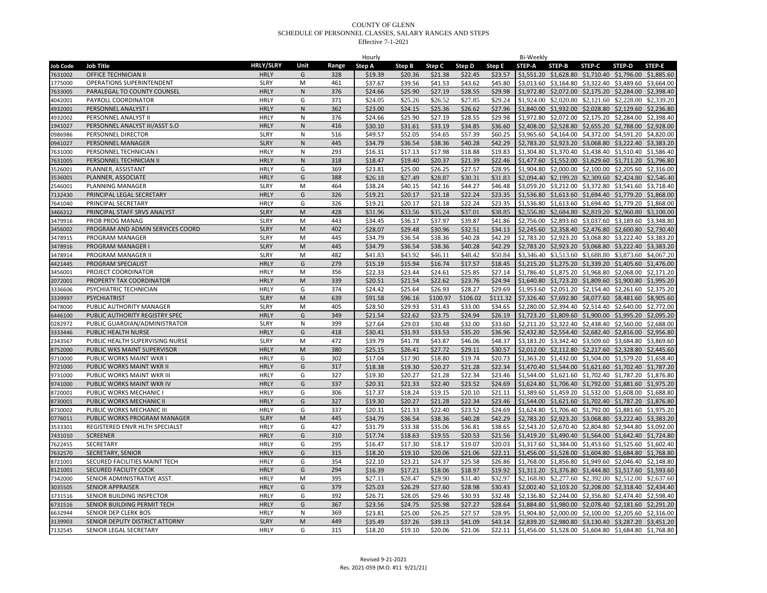|                 |                                  |                  |              |       | Hourly  |         |          |          |          | Bi-Weekly     |                                                                |               |                       |        |
|-----------------|----------------------------------|------------------|--------------|-------|---------|---------|----------|----------|----------|---------------|----------------------------------------------------------------|---------------|-----------------------|--------|
| <b>Job Code</b> | <b>Job Title</b>                 | <b>HRLY/SLRY</b> | Unit         | Range | Step A  | Step B  | Step C   | Step D   | Step E   | <b>STEP-A</b> | STEP-B                                                         | <b>STEP-C</b> | <b>STEP-D</b>         | STEP-E |
| 7631002         | OFFICE TECHNICIAN II             | <b>HRLY</b>      | G            | 328   | \$19.39 | \$20.36 | \$21.38  | \$22.45  | \$23.57  |               | \$1,551.20 \$1,628.80 \$1,710.40 \$1,796.00 \$1,885.60         |               |                       |        |
| 1775000         | <b>OPERATIONS SUPERINTENDENT</b> | <b>SLRY</b>      | M            | 461   | \$37.67 | \$39.56 | \$41.53  | \$43.62  | \$45.80  |               | \$3,013.60 \$3,164.80 \$3,322.40 \$3,489.60 \$3,664.00         |               |                       |        |
| 7633005         | PARALEGAL TO COUNTY COUNSEL      | <b>HRLY</b>      | N            | 376   | \$24.66 | \$25.90 | \$27.19  | \$28.55  | \$29.98  |               | \$1,972.80 \$2,072.00 \$2,175.20 \$2,284.00 \$2,398.40         |               |                       |        |
| 4042001         | PAYROLL COORDINATOR              | <b>HRLY</b>      | G            | 371   | \$24.05 | \$25.26 | \$26.52  | \$27.85  | \$29.24  |               | \$1,924.00 \$2,020.80 \$2,121.60 \$2,228.00 \$2,339.20         |               |                       |        |
| 4932001         | PERSONNEL ANALYST I              | <b>HRLY</b>      | $\mathsf{N}$ | 362   | \$23.00 | \$24.15 | \$25.36  | \$26.62  | \$27.96  |               | \$1,840.00 \$1,932.00 \$2,028.80 \$2,129.60 \$2,236.80         |               |                       |        |
| 4932002         | PERSONNEL ANALYST II             | <b>HRLY</b>      | $\mathsf{N}$ | 376   | \$24.66 | \$25.90 | \$27.19  | \$28.55  | \$29.98  |               | \$1,972.80 \$2,072.00 \$2,175.20 \$2,284.00 \$2,398.40         |               |                       |        |
| 1941027         | PERSONNEL ANALYST III/ASST S.O   | <b>HRLY</b>      | ${\sf N}$    | 416   | \$30.10 | \$31.61 | \$33.19  | \$34.85  | \$36.60  | \$2,408.00    | \$2,528.80 \$2,655.20 \$2,788.00 \$2,928.00                    |               |                       |        |
| 0986986         | PERSONNEL DIRECTOR               | <b>SLRY</b>      | N            | 516   | \$49.57 | \$52.05 | \$54.65  | \$57.39  | \$60.25  |               | \$3,965.60 \$4,164.00 \$4,372.00 \$4,591.20 \$4,820.00         |               |                       |        |
| 0941027         | PERSONNEL MANAGER                | <b>SLRY</b>      | ${\sf N}$    | 445   | \$34.79 | \$36.54 | \$38.36  | \$40.28  | \$42.29  |               | \$2,783.20 \$2,923.20 \$3,068.80 \$3,222.40 \$3,383.20         |               |                       |        |
| 7631000         | PERSONNEL TECHNICIAN             | <b>HRLY</b>      | N            | 293   | \$16.31 | \$17.13 | \$17.98  | \$18.88  | \$19.83  |               | \$1,304.80 \$1,370.40 \$1,438.40 \$1,510.40 \$1,586.40         |               |                       |        |
| 7631005         | PERSONNEL TECHNICIAN II          | <b>HRLY</b>      | ${\sf N}$    | 318   | \$18.47 | \$19.40 | \$20.37  | \$21.39  | \$22.46  |               | \$1,477.60 \$1,552.00 \$1,629.60 \$1,711.20 \$1,796.80         |               |                       |        |
| 3526001         | PLANNER, ASSISTANT               | <b>HRLY</b>      | G            | 369   | \$23.81 | \$25.00 | \$26.25  | \$27.57  | \$28.95  |               | \$1,904.80 \$2,000.00 \$2,100.00 \$2,205.60 \$2,316.00         |               |                       |        |
| 3536001         | PLANNER, ASSOCIATE               | <b>HRLY</b>      | G            | 388   | \$26.18 | \$27.49 | \$28.87  | \$30.31  | \$31.83  |               | \$2,094.40 \$2,199.20 \$2,309.60 \$2,424.80 \$2,546.40         |               |                       |        |
| 2546001         | PLANNING MANAGER                 | <b>SLRY</b>      | M            | 464   | \$38.24 | \$40.15 | \$42.16  | \$44.27  | \$46.48  |               | \$3,059.20 \$3,212.00 \$3,372.80 \$3,541.60 \$3,718.40         |               |                       |        |
| 7132430         | PRINCIPAL LEGAL SECRETARY        | <b>HRLY</b>      | G            | 326   | \$19.21 | \$20.17 | \$21.18  | \$22.24  | \$23.35  |               | \$1,536.80 \$1,613.60 \$1,694.40 \$1,779.20 \$1,868.00         |               |                       |        |
| 7641040         | PRINCIPAL SECRETARY              | <b>HRLY</b>      | G            | 326   | \$19.21 | \$20.17 | \$21.18  | \$22.24  | \$23.35  |               | \$1,536.80 \$1,613.60 \$1,694.40 \$1,779.20 \$1,868.00         |               |                       |        |
| 3466312         | PRINCIPAL STAFF SRVS ANALYST     | <b>SLRY</b>      | M            | 428   | \$31.96 | \$33.56 | \$35.24  | \$37.01  | \$38.85  |               | \$2,556.80 \$2,684.80 \$2,819.20 \$2,960.80 \$3,108.00         |               |                       |        |
| 3479916         | PROB PROG MANAG                  | <b>SLRY</b>      | M            | 443   | \$34.45 | \$36.17 | \$37.97  | \$39.87  | \$41.86  |               | \$2,756.00 \$2,893.60 \$3,037.60 \$3,189.60 \$3,348.80         |               |                       |        |
|                 |                                  | <b>SLRY</b>      | M            | 402   |         |         | \$30.96  | \$32.51  | \$34.13  |               | \$2,245.60 \$2,358.40 \$2,476.80 \$2,600.80 \$2,730.40         |               |                       |        |
| 3456002         | PROGRAM AND ADMIN SERVICES COORD |                  |              |       | \$28.07 | \$29.48 |          |          |          |               |                                                                |               |                       |        |
| 3478915         | PROGRAM MANAGER                  | <b>SLRY</b>      | M            | 445   | \$34.79 | \$36.54 | \$38.36  | \$40.28  | \$42.29  |               | \$2,783.20 \$2,923.20 \$3,068.80 \$3,222.40 \$3,383.20         |               |                       |        |
| 3478916         | PROGRAM MANAGER I                | <b>SLRY</b>      | M            | 445   | \$34.79 | \$36.54 | \$38.36  | \$40.28  | \$42.29  |               | \$2,783.20 \$2,923.20 \$3,068.80 \$3,222.40 \$3,383.20         |               |                       |        |
| 3478914         | PROGRAM MANAGER II               | <b>SLRY</b>      | M            | 482   | \$41.83 | \$43.92 | \$46.11  | \$48.42  | \$50.84  |               | \$3,346.40 \$3,513.60 \$3,688.80 \$3,873.60 \$4,067.20         |               |                       |        |
| 4421445         | PROGRAM SPECIALIST               | <b>HRLY</b>      | G            | 279   | \$15.19 | \$15.94 | \$16.74  | \$17.57  | \$18.45  |               | \$1,215.20 \$1,275.20 \$1,339.20 \$1,405.60 \$1,476.00         |               |                       |        |
| 3456001         | PROJECT COORDINATOR              | <b>HRLY</b>      | M            | 356   | \$22.33 | \$23.44 | \$24.61  | \$25.85  | \$27.14  |               | \$1,786.40 \$1,875.20 \$1,968.80                               |               | \$2,068.00 \$2,171.20 |        |
| 2072001         | PROPERTY TAX COORDINATOR         | <b>HRLY</b>      | M            | 339   | \$20.51 | \$21.54 | \$22.62  | \$23.76  | \$24.94  |               | \$1,640.80 \$1,723.20 \$1,809.60 \$1,900.80 \$1,995.20         |               |                       |        |
| 3336606         | PSYCHIATRIC TECHNICIAN           | <b>HRLY</b>      | G            | 374   | \$24.42 | \$25.64 | \$26.93  | \$28.27  | \$29.69  |               | \$1,953.60 \$2,051.20 \$2,154.40 \$2,261.60 \$2,375.20         |               |                       |        |
| 3339997         | <b>PSYCHIATRIST</b>              | <b>SLRY</b>      | M            | 639   | \$91.58 | \$96.16 | \$100.97 | \$106.02 | \$111.32 |               | \$7,326.40 \$7,692.80 \$8,077.60 \$8,481.60 \$8,905.60         |               |                       |        |
| 0478000         | PUBLIC AUTHORITY MANAGER         | <b>SLRY</b>      | M            | 405   | \$28.50 | \$29.93 | \$31.43  | \$33.00  | \$34.65  |               | \$2,280.00 \$2,394.40 \$2,514.40 \$2,640.00 \$2,772.00         |               |                       |        |
| 6446100         | PUBLIC AUTHORITY REGISTRY SPEC   | <b>HRLY</b>      | G            | 349   | \$21.54 | \$22.62 | \$23.75  | \$24.94  | \$26.19  |               | \$1,723.20 \$1,809.60 \$1,900.00 \$1,995.20 \$2,095.20         |               |                       |        |
| 0282972         | PUBLIC GUARDIAN/ADMINISTRATOR    | <b>SLRY</b>      | N            | 399   | \$27.64 | \$29.03 | \$30.48  | \$32.00  | \$33.60  |               | \$2,211.20 \$2,322.40 \$2,438.40 \$2,560.00 \$2,688.00         |               |                       |        |
| 3333446         | PUBLIC HEALTH NURSE              | <b>HRLY</b>      | G            | 418   | \$30.41 | \$31.93 | \$33.53  | \$35.20  | \$36.96  |               | \$2,432.80 \$2,554.40 \$2,682.40 \$2,816.00 \$2,956.80         |               |                       |        |
| 2343567         | PUBLIC HEALTH SUPERVISING NURSE  | <b>SLRY</b>      | M            | 472   | \$39.79 | \$41.78 | \$43.87  | \$46.06  | \$48.37  |               | \$3,183.20 \$3,342.40 \$3,509.60 \$3,684.80 \$3,869.60         |               |                       |        |
| 8752000         | PUBLIC WKS MAINT SUPERVISOR      | <b>HRLY</b>      | M            | 380   | \$25.15 | \$26.41 | \$27.72  | \$29.11  | \$30.57  |               | \$2,012.00 \$2,112.80 \$2,217.60 \$2,328.80 \$2,445.60         |               |                       |        |
| 9710000         | PUBLIC WORKS MAINT WKR I         | <b>HRLY</b>      | G            | 302   | \$17.04 | \$17.90 | \$18.80  | \$19.74  | \$20.73  |               | \$1,363.20 \$1,432.00 \$1,504.00 \$1,579.20 \$1,658.40         |               |                       |        |
| 9721000         | PUBLIC WORKS MAINT WKR II        | <b>HRLY</b>      | G            | 317   | \$18.38 | \$19.30 | \$20.27  | \$21.28  | \$22.34  |               | \$1,470.40 \$1,544.00 \$1,621.60 \$1,702.40 \$1,787.20         |               |                       |        |
| 9731000         | PUBLIC WORKS MAINT WKR III       | <b>HRLY</b>      | G            | 327   | \$19.30 | \$20.27 | \$21.28  | \$22.34  | \$23.46  |               | \$1,544.00 \$1,621.60 \$1,702.40 \$1,787.20 \$1,876.80         |               |                       |        |
| 9741000         | PUBLIC WORKS MAINT WKR IV        | <b>HRLY</b>      | G            | 337   | \$20.31 | \$21.33 | \$22.40  | \$23.52  | \$24.69  |               | \$1,624.80 \$1,706.40 \$1,792.00 \$1,881.60 \$1,975.20         |               |                       |        |
| 8720001         | PUBLIC WORKS MECHANIC I          | <b>HRLY</b>      | G            | 306   | \$17.37 | \$18.24 | \$19.15  | \$20.10  | \$21.11  |               | \$1,389.60 \$1,459.20 \$1,532.00 \$1,608.00 \$1,688.80         |               |                       |        |
| 8730001         | PUBLIC WORKS MECHANIC II         | <b>HRLY</b>      | G            | 327   | \$19.30 | \$20.27 | \$21.28  | \$22.34  | \$23.46  |               | \$1,544.00 \$1,621.60 \$1,702.40 \$1,787.20 \$1,876.80         |               |                       |        |
| 8730002         | PUBLIC WORKS MECHANIC III        | <b>HRLY</b>      | G            | 337   | \$20.31 | \$21.33 | \$22.40  | \$23.52  | \$24.69  |               | \$1,624.80 \$1,706.40 \$1,792.00 \$1,881.60 \$1,975.20         |               |                       |        |
| 0776011         | PUBLIC WORKS PROGRAM MANAGER     | <b>SLRY</b>      | ${\sf M}$    | 445   | \$34.79 | \$36.54 | \$38.36  | \$40.28  | \$42.29  |               | \$2,783.20 \$2,923.20 \$3,068.80 \$3,222.40 \$3,383.20         |               |                       |        |
| 3533301         | REGISTERED ENVR HLTH SPECIALST   | <b>HRLY</b>      | G            | 427   | \$31.79 | \$33.38 | \$35.06  | \$36.81  | \$38.65  |               | \$2,543.20 \$2,670.40 \$2,804.80 \$2,944.80 \$3,092.00         |               |                       |        |
| 7431010         | <b>SCREENER</b>                  | <b>HRLY</b>      | G            | 310   | \$17.74 | \$18.63 | \$19.55  | \$20.53  | \$21.56  |               | \$1,419.20 \$1,490.40 \$1,564.00 \$1,642.40 \$1,724.80         |               |                       |        |
| 7622455         | SECRETARY                        | <b>HRLY</b>      | G            | 295   | \$16.47 | \$17.30 | \$18.17  | \$19.07  | \$20.03  |               | \$1,317.60 \$1,384.00 \$1,453.60 \$1,525.60 \$1,602.40         |               |                       |        |
| 7632570         | SECRETARY, SENIOR                | <b>HRLY</b>      | G            | 315   | \$18.20 | \$19.10 | \$20.06  | \$21.06  | \$22.11  |               | \$1,456.00 \$1,528.00 \$1,604.80 \$1,684.80 \$1,768.80         |               |                       |        |
| 8721001         | SECURED FACILITIES MAINT TECH    | <b>HRLY</b>      | G            | 354   | \$22.10 | \$23.21 | \$24.37  | \$25.58  | \$26.86  |               | \$1,768.00 \$1,856.80 \$1,949.60 \$2,046.40 \$2,148.80         |               |                       |        |
| 8121001         | <b>SECURED FACILITY COOK</b>     | <b>HRLY</b>      | G            | 294   | \$16.39 | \$17.21 | \$18.06  | \$18.97  | \$19.92  |               | \$1,311.20 \$1,376.80 \$1,444.80 \$1,517.60 \$1,593.60         |               |                       |        |
| 7342000         | SENIOR ADMINISTRATIVE ASST.      | <b>HRLY</b>      | M            | 395   | \$27.11 | \$28.47 | \$29.90  | \$31.40  | \$32.97  |               | \$2,168.80 \$2,277.60 \$2,392.00 \$2,512.00 \$2,637.60         |               |                       |        |
| 3035505         | <b>SENIOR APPRAISER</b>          | <b>HRLY</b>      | G            | 379   | \$25.03 | \$26.29 | \$27.60  | \$28.98  | \$30.43  |               | \$2,002.40 \$2,103.20 \$2,208.00 \$2,318.40 \$2,434.40         |               |                       |        |
| 3731516         | SENIOR BUILDING INSPECTOR        | <b>HRLY</b>      | G            | 392   | \$26.71 | \$28.05 | \$29.46  | \$30.93  | \$32.48  |               | \$2,136.80 \$2,244.00 \$2,356.80 \$2,474.40 \$2,598.40         |               |                       |        |
| 6731516         | SENIOR BUILDING PERMIT TECH      | <b>HRLY</b>      | G            | 367   | \$23.56 | \$24.75 | \$25.98  | \$27.27  | \$28.64  |               | \$1,884.80 \$1,980.00 \$2,078.40 \$2,181.60 \$2,291.20         |               |                       |        |
| 6632944         | <b>SENIOR DEP CLERK BOS</b>      | <b>HRLY</b>      | N            | 369   | \$23.81 | \$25.00 | \$26.25  | \$27.57  | \$28.95  |               | \$1,904.80 \$2,000.00 \$2,100.00 \$2,205.60 \$2,316.00         |               |                       |        |
| 3139903         | SENIOR DEPUTY DISTRICT ATTORNY   | <b>SLRY</b>      | ${\sf M}$    | 449   | \$35.49 | \$37.26 | \$39.13  | \$41.09  | \$43.14  |               | \$2,839.20 \$2,980.80 \$3,130.40 \$3,287.20 \$3,451.20         |               |                       |        |
| 7132545         | SENIOR LEGAL SECRETARY           | <b>HRLY</b>      | G            | 315   | \$18.20 | \$19.10 | \$20.06  | \$21.06  |          |               | \$22.11 \$1,456.00 \$1,528.00 \$1,604.80 \$1,684.80 \$1,768.80 |               |                       |        |
|                 |                                  |                  |              |       |         |         |          |          |          |               |                                                                |               |                       |        |